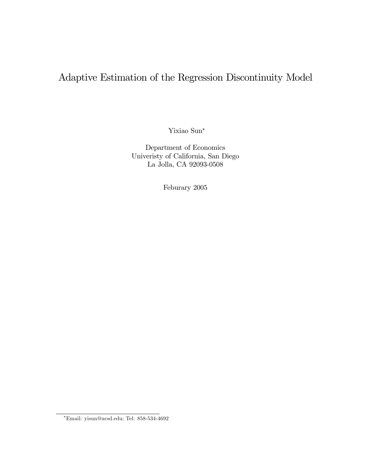# Adaptive Estimation of the Regression Discontinuity Model

Yixiao Sun

Department of Economics Univeristy of California, San Diego La Jolla, CA 92093-0508

Feburary 2005

Email: yisun@ucsd.edu; Tel: 858-534-4692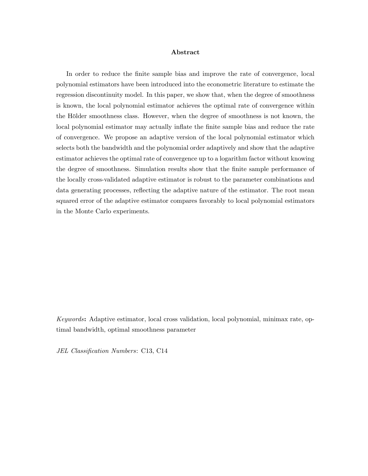#### Abstract

In order to reduce the finite sample bias and improve the rate of convergence, local polynomial estimators have been introduced into the econometric literature to estimate the regression discontinuity model. In this paper, we show that, when the degree of smoothness is known, the local polynomial estimator achieves the optimal rate of convergence within the Hölder smoothness class. However, when the degree of smoothness is not known, the local polynomial estimator may actually inflate the finite sample bias and reduce the rate of convergence. We propose an adaptive version of the local polynomial estimator which selects both the bandwidth and the polynomial order adaptively and show that the adaptive estimator achieves the optimal rate of convergence up to a logarithm factor without knowing the degree of smoothness. Simulation results show that the Önite sample performance of the locally cross-validated adaptive estimator is robust to the parameter combinations and data generating processes, reflecting the adaptive nature of the estimator. The root mean squared error of the adaptive estimator compares favorably to local polynomial estimators in the Monte Carlo experiments.

Keywords: Adaptive estimator, local cross validation, local polynomial, minimax rate, optimal bandwidth, optimal smoothness parameter

JEL Classification Numbers: C13, C14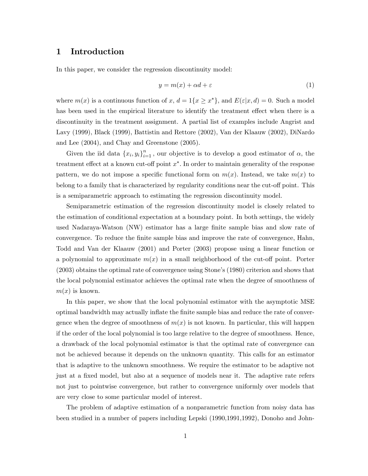### 1 Introduction

In this paper, we consider the regression discontinuity model:

$$
y = m(x) + \alpha d + \varepsilon \tag{1}
$$

where  $m(x)$  is a continuous function of  $x, d = 1\{x \geq x^*\}$ , and  $E(\varepsilon | x, d) = 0$ . Such a model has been used in the empirical literature to identify the treatment effect when there is a discontinuity in the treatment assignment. A partial list of examples include Angrist and Lavy (1999), Black (1999), Battistin and Rettore (2002), Van der Klaauw (2002), DiNardo and Lee (2004), and Chay and Greenstone (2005).

Given the iid data  ${x_i, y_i}_{i=1}^n$ , our objective is to develop a good estimator of  $\alpha$ , the treatment effect at a known cut-off point  $x^*$ . In order to maintain generality of the response pattern, we do not impose a specific functional form on  $m(x)$ . Instead, we take  $m(x)$  to belong to a family that is characterized by regularity conditions near the cut-off point. This is a semiparametric approach to estimating the regression discontinuity model.

Semiparametric estimation of the regression discontinuity model is closely related to the estimation of conditional expectation at a boundary point. In both settings, the widely used Nadaraya-Watson (NW) estimator has a large Önite sample bias and slow rate of convergence. To reduce the finite sample bias and improve the rate of convergence, Hahn, Todd and Van der Klaauw (2001) and Porter (2003) propose using a linear function or a polynomial to approximate  $m(x)$  in a small neighborhood of the cut-off point. Porter  $(2003)$  obtains the optimal rate of convergence using Stone's  $(1980)$  criterion and shows that the local polynomial estimator achieves the optimal rate when the degree of smoothness of  $m(x)$  is known.

In this paper, we show that the local polynomial estimator with the asymptotic MSE optimal bandwidth may actually inflate the finite sample bias and reduce the rate of convergence when the degree of smoothness of  $m(x)$  is not known. In particular, this will happen if the order of the local polynomial is too large relative to the degree of smoothness. Hence, a drawback of the local polynomial estimator is that the optimal rate of convergence can not be achieved because it depends on the unknown quantity. This calls for an estimator that is adaptive to the unknown smoothness. We require the estimator to be adaptive not just at a fixed model, but also at a sequence of models near it. The adaptive rate refers not just to pointwise convergence, but rather to convergence uniformly over models that are very close to some particular model of interest.

The problem of adaptive estimation of a nonparametric function from noisy data has been studied in a number of papers including Lepski (1990,1991,1992), Donoho and John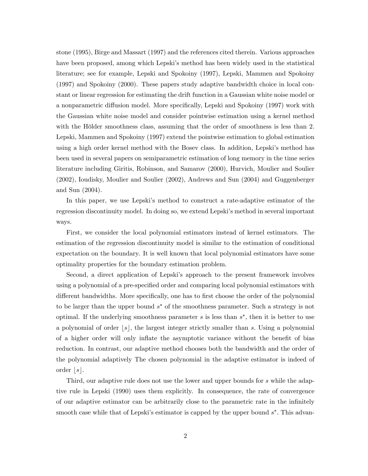stone (1995), Birge and Massart (1997) and the references cited therein. Various approaches have been proposed, among which Lepski's method has been widely used in the statistical literature; see for example, Lepski and Spokoiny (1997), Lepski, Mammen and Spokoiny (1997) and Spokoiny (2000). These papers study adaptive bandwidth choice in local constant or linear regression for estimating the drift function in a Gaussian white noise model or a nonparametric diffusion model. More specifically, Lepski and Spokoiny (1997) work with the Gaussian white noise model and consider pointwise estimation using a kernel method with the Hölder smoothness class, assuming that the order of smoothness is less than 2. Lepski, Mammen and Spokoiny (1997) extend the pointwise estimation to global estimation using a high order kernel method with the Bosev class. In addition, Lepski's method has been used in several papers on semiparametric estimation of long memory in the time series literature including Giritis, Robinson, and Samarov (2000), Hurvich, Moulier and Soulier (2002), Ioudisky, Moulier and Soulier (2002), Andrews and Sun (2004) and Guggenberger and Sun (2004).

In this paper, we use Lepski's method to construct a rate-adaptive estimator of the regression discontinuity model. In doing so, we extend Lepski's method in several important ways.

First, we consider the local polynomial estimators instead of kernel estimators. The estimation of the regression discontinuity model is similar to the estimation of conditional expectation on the boundary. It is well known that local polynomial estimators have some optimality properties for the boundary estimation problem.

Second, a direct application of Lepskiís approach to the present framework involves using a polynomial of a pre-specified order and comparing local polynomial estimators with different bandwidths. More specifically, one has to first choose the order of the polynomial to be larger than the upper bound  $s^*$  of the smoothness parameter. Such a strategy is not optimal. If the underlying smoothness parameter  $s$  is less than  $s^*$ , then it is better to use a polynomial of order  $|s|$ , the largest integer strictly smaller than s. Using a polynomial of a higher order will only inflate the asymptotic variance without the benefit of bias reduction. In contrast, our adaptive method chooses both the bandwidth and the order of the polynomial adaptively The chosen polynomial in the adaptive estimator is indeed of order  $|s|$ .

Third, our adaptive rule does not use the lower and upper bounds for s while the adaptive rule in Lepski (1990) uses them explicitly. In consequence, the rate of convergence of our adaptive estimator can be arbitrarily close to the parametric rate in the infinitely smooth case while that of Lepski's estimator is capped by the upper bound  $s^*$ . This advan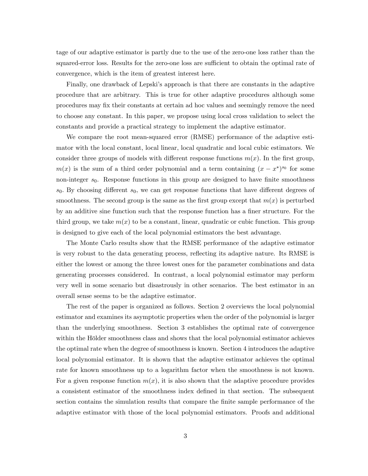tage of our adaptive estimator is partly due to the use of the zero-one loss rather than the squared-error loss. Results for the zero-one loss are sufficient to obtain the optimal rate of convergence, which is the item of greatest interest here.

Finally, one drawback of Lepskiís approach is that there are constants in the adaptive procedure that are arbitrary. This is true for other adaptive procedures although some procedures may Öx their constants at certain ad hoc values and seemingly remove the need to choose any constant. In this paper, we propose using local cross validation to select the constants and provide a practical strategy to implement the adaptive estimator.

We compare the root mean-squared error (RMSE) performance of the adaptive estimator with the local constant, local linear, local quadratic and local cubic estimators. We consider three groups of models with different response functions  $m(x)$ . In the first group,  $m(x)$  is the sum of a third order polynomial and a term containing  $(x - x^*)^{s_0}$  for some non-integer  $s_0$ . Response functions in this group are designed to have finite smoothness  $s_0$ . By choosing different  $s_0$ , we can get response functions that have different degrees of smoothness. The second group is the same as the first group except that  $m(x)$  is perturbed by an additive sine function such that the response function has a finer structure. For the third group, we take  $m(x)$  to be a constant, linear, quadratic or cubic function. This group is designed to give each of the local polynomial estimators the best advantage.

The Monte Carlo results show that the RMSE performance of the adaptive estimator is very robust to the data generating process, reflecting its adaptive nature. Its RMSE is either the lowest or among the three lowest ones for the parameter combinations and data generating processes considered. In contrast, a local polynomial estimator may perform very well in some scenario but disastrously in other scenarios. The best estimator in an overall sense seems to be the adaptive estimator.

The rest of the paper is organized as follows. Section 2 overviews the local polynomial estimator and examines its asymptotic properties when the order of the polynomial is larger than the underlying smoothness. Section 3 establishes the optimal rate of convergence within the Hölder smoothness class and shows that the local polynomial estimator achieves the optimal rate when the degree of smoothness is known. Section 4 introduces the adaptive local polynomial estimator. It is shown that the adaptive estimator achieves the optimal rate for known smoothness up to a logarithm factor when the smoothness is not known. For a given response function  $m(x)$ , it is also shown that the adaptive procedure provides a consistent estimator of the smoothness index defined in that section. The subsequent section contains the simulation results that compare the Önite sample performance of the adaptive estimator with those of the local polynomial estimators. Proofs and additional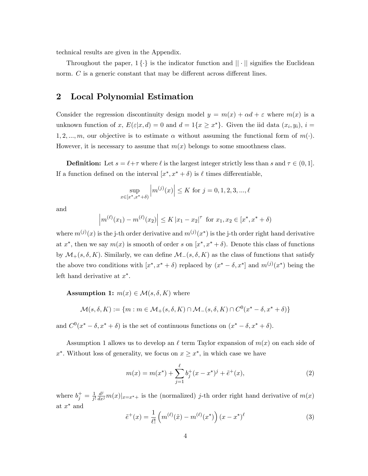technical results are given in the Appendix.

Throughout the paper,  $1 \{ \cdot \}$  is the indicator function and  $|| \cdot ||$  signifies the Euclidean norm.  $C$  is a generic constant that may be different across different lines.

### 2 Local Polynomial Estimation

Consider the regression discontinuity design model  $y = m(x) + \alpha d + \varepsilon$  where  $m(x)$  is a unknown function of x,  $E(\varepsilon|x,d) = 0$  and  $d = 1\{x \geq x^*\}$ . Given the iid data  $(x_i, y_i)$ ,  $i =$ 1, 2, ..., m, our objective is to estimate  $\alpha$  without assuming the functional form of  $m(\cdot)$ . However, it is necessary to assume that  $m(x)$  belongs to some smoothness class.

**Definition:** Let  $s = \ell + \tau$  where  $\ell$  is the largest integer strictly less than s and  $\tau \in (0, 1]$ . If a function defined on the interval  $[x^*, x^* + \delta)$  is  $\ell$  times differentiable,

$$
\sup_{x \in [x^*, x^* + \delta)} \left| m^{(j)}(x) \right| \le K \text{ for } j = 0, 1, 2, 3, ..., \ell
$$

and

$$
\left| m^{(\ell)}(x_1) - m^{(\ell)}(x_2) \right| \le K |x_1 - x_2|^{\tau} \text{ for } x_1, x_2 \in [x^*, x^* + \delta)
$$

where  $m^{(j)}(x)$  is the j-th order derivative and  $m^{(j)}(x^*)$  is the j-th order right hand derivative at  $x^*$ , then we say  $m(x)$  is smooth of order s on  $[x^*, x^* + \delta)$ . Denote this class of functions by  $\mathcal{M}_{+}(s, \delta, K)$ . Similarly, we can define  $\mathcal{M}_{-}(s, \delta, K)$  as the class of functions that satisfy the above two conditions with  $[x^*, x^* + \delta)$  replaced by  $(x^* - \delta, x^*]$  and  $m^{(j)}(x^*)$  being the left hand derivative at  $x^*$ .

**Assumption 1:**  $m(x) \in \mathcal{M}(s, \delta, K)$  where

$$
\mathcal{M}(s,\delta,K) := \{ m : m \in \mathcal{M}_+(s,\delta,K) \cap \mathcal{M}_-(s,\delta,K) \cap C^0(x^* - \delta,x^* + \delta) \}
$$

and  $C^0(x^* - \delta, x^* + \delta)$  is the set of continuous functions on  $(x^* - \delta, x^* + \delta)$ .

Assumption 1 allows us to develop an  $\ell$  term Taylor expansion of  $m(x)$  on each side of  $x^*$ . Without loss of generality, we focus on  $x \geq x^*$ , in which case we have

$$
m(x) = m(x^*) + \sum_{j=1}^{\ell} b_j^+(x - x^*)^j + \tilde{e}^+(x),
$$
\n(2)

where  $b_j^+ = \frac{1}{j!}$ j!  $\frac{d^j}{dx^j}m(x)|_{x=x^*+}$  is the (normalized) j-th order right hand derivative of  $m(x)$ at  $x^*$  and

$$
\tilde{e}^+(x) = \frac{1}{\ell!} \left( m^{(\ell)}(\tilde{x}) - m^{(\ell)}(x^*) \right) (x - x^*)^{\ell} \tag{3}
$$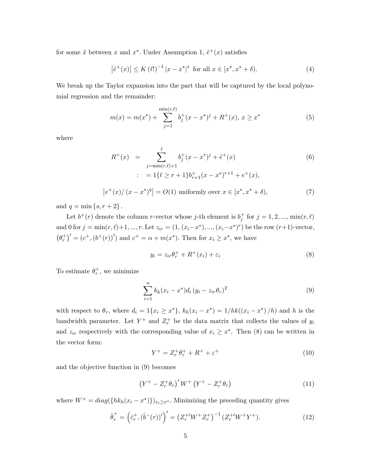for some  $\tilde{x}$  between x and  $x^*$ . Under Assumption 1,  $\tilde{e}^+(x)$  satisfies

$$
\left|\tilde{e}^{+}(x)\right| \le K\left(\ell!\right)^{-1}|x - x^{*}|^{s} \text{ for all } x \in [x^{*}, x^{*} + \delta). \tag{4}
$$

We break up the Taylor expansion into the part that will be captured by the local polynomial regression and the remainder:

$$
m(x) = m(x^*) + \sum_{j=1}^{\min(r,\ell)} b_j^+(x - x^*)^j + R^+(x), x \ge x^*
$$
 (5)

where

$$
R^{+}(x) = \sum_{j=\min(r,\ell)+1}^{\ell} b_{j}^{+}(x-x^{*})^{j} + \tilde{e}^{+}(x)
$$
  

$$
= 1\{\ell \geq r+1\}b_{r+1}^{+}(x-x^{*})^{r+1} + e^{+}(x),
$$
  
(6)

$$
\left|e^{+}(x)/(x-x^{*})^{q}\right| = O(1) \text{ uniformly over } x \in [x^{*}, x^{*} + \delta),\tag{7}
$$

and  $q = \min\{s, r + 2\}$ .

Let  $b^+(r)$  denote the column *r*-vector whose j-th element is  $b_j^+$  for  $j = 1, 2, ..., \min(r, \ell)$ and 0 for  $j = \min(r, \ell) + 1, ..., r$ . Let  $z_{ir} = (1, (x_i - x^*), ..., (x_i - x^*)^r)$  be the row  $(r+1)$ -vector,  $(\theta_r^+)' = (c^+, (b^+(r))')$  and  $c^+ = \alpha + m(x^*)$ . Then for  $x_i \geq x^*$ , we have

$$
y_i = z_{ir}\theta_r^+ + R^+(x_i) + \varepsilon_i \tag{8}
$$

To estimate  $\theta_r^+$ , we minimize

$$
\sum_{i=1}^{n} k_h (x_i - x^*) d_i (y_i - z_{ir} \theta_r)^2
$$
\n(9)

with respect to  $\theta_r$ , where  $d_i = 1\{x_i \geq x^*\}, k_h(x_i - x^*) = 1/hk((x_i - x^*)/h)$  and h is the bandwidth parameter. Let  $Y^+$  and  $Z_r^+$  be the data matrix that collects the values of  $y_i$ and  $z_{ir}$  respectively with the corresponding value of  $x_i \geq x^*$ . Then (8) can be written in the vector form:

$$
Y^{+} = Z_{r}^{+} \theta_{r}^{+} + R^{+} + \varepsilon^{+}
$$
\n<sup>(10)</sup>

and the objective function in (9) becomes

$$
(Y^{+} - Z_{r}^{+} \theta_{r})' W^{+} (Y^{+} - Z_{r}^{+} \theta_{r})
$$
\n(11)

where  $W^+ = diag({h_k(x_i - x^*)})_{x_i \ge x^*}$ . Minimizing the preceding quantity gives

$$
\hat{\theta}_r^+ = \left(\hat{c}_r^+, (\hat{b}^-(r))'\right)' = \left(Z_r^{+'}W^+Z_r^+\right)^{-1}\left(Z_r^{+'}W^+Y^+\right). \tag{12}
$$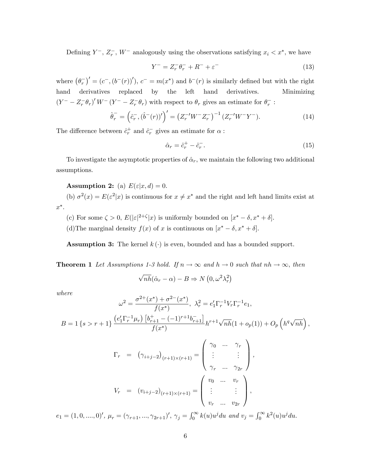Defining  $Y^-, Z_r^-, W^-$  analogously using the observations satisfying  $x_i < x^*$ , we have

$$
Y^{-} = Z_{r}^{-} \theta_{r}^{-} + R^{-} + \varepsilon^{-}
$$
\n(13)

where  $(\theta_r^-)' = (c^-, (b^-(r))')$ ,  $c^- = m(x^*)$  and  $b^-(r)$  is similarly defined but with the right hand derivatives replaced by the left hand derivatives. Minimizing  $(Y^- - Z_r^- \theta_r)' W^- (Y^- - Z_r^- \theta_r)$  with respect to  $\theta_r$  gives an estimate for  $\theta_r^-$ :

$$
\hat{\theta}_r^- = \left(\hat{c}_r^-, (\hat{b}^-(r))'\right)' = \left(Z_r^{-\prime} W^- Z_r^-\right)^{-1} \left(Z_r^{-\prime} W^- Y^-\right). \tag{14}
$$

The difference between  $\hat{c}_r^+$  and  $\hat{c}_r^-$  gives an estimate for  $\alpha$ :

$$
\hat{\alpha}_r = \hat{c}_r^+ - \hat{c}_r^-.
$$
\n<sup>(15)</sup>

To investigate the asymptotic properties of  $\hat{\alpha}_r$ , we maintain the following two additional assumptions.

**Assumption 2:** (a)  $E(\varepsilon|x, d) = 0$ .

(b)  $\sigma^2(x) = E(\varepsilon^2|x)$  is continuous for  $x \neq x^*$  and the right and left hand limits exist at  $x^*$ .

- (c) For some  $\zeta > 0$ ,  $E(|\varepsilon|^{2+\zeta}|x)$  is uniformly bounded on  $[x^* \delta, x^* + \delta]$ .
- (d) The marginal density  $f(x)$  of x is continuous on  $[x^* \delta, x^* + \delta]$ .

**Assumption 3:** The kernel  $k(\cdot)$  is even, bounded and has a bounded support.

**Theorem 1** Let Assumptions 1-3 hold. If  $n \to \infty$  and  $h \to 0$  such that  $nh \to \infty$ , then

$$
\sqrt{nh}(\hat{\alpha}_{r}-\alpha)-B\Rightarrow N\left(0,\omega^{2}\lambda_{r}^{2}\right)
$$

where

$$
\omega^{2} = \frac{\sigma^{2+}(x^{*}) + \sigma^{2-}(x^{*})}{f(x^{*})}, \ \lambda_{r}^{2} = e_{1}^{\prime} \Gamma_{r}^{-1} V_{r} \Gamma_{r}^{-1} e_{1},
$$
\n
$$
B = 1\left\{s > r+1\right\} \frac{\left(e_{1}^{\prime} \Gamma_{r}^{-1} \mu_{r}\right) \left[b_{r+1}^{+} - (-1)^{r+1} b_{r+1}^{-}\right]}{f(x^{*})} h^{r+1} \sqrt{n h} (1 + o_{p}(1)) + O_{p}\left(h^{q} \sqrt{n h}\right),
$$
\n
$$
\left(\begin{array}{ccc}\gamma_{0} & \cdots & \gamma_{r}\end{array}\right)
$$

$$
\Gamma_r = (\gamma_{i+j-2})_{(r+1)\times(r+1)} = \begin{pmatrix} 0 & \cdots & r_r \\ \vdots & & \vdots \\ \gamma_r & \cdots & \gamma_{2r} \end{pmatrix},
$$
  

$$
V_r = (v_{i+j-2})_{(r+1)\times(r+1)} = \begin{pmatrix} v_0 & \cdots & v_r \\ \vdots & & \vdots \\ v_r & \cdots & v_{2r} \end{pmatrix},
$$

 $e_1 = (1, 0, \ldots, 0)^\prime, \ \mu_r = (\gamma_{r+1}, \ldots, \gamma_{2r+1})^\prime, \ \gamma_j = \int_0^\infty k(u) u^j du \ \text{ and } v_j = \int_0^\infty k^2(u) u^j du.$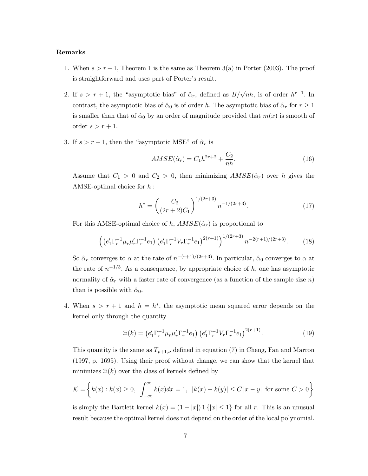#### Remarks

- 1. When  $s > r + 1$ , Theorem 1 is the same as Theorem 3(a) in Porter (2003). The proof is straightforward and uses part of Porter's result.
- 2. If  $s > r + 1$ , the "asymptotic bias" of  $\hat{\alpha}_r$ , defined as  $B/\sqrt{n h}$ , is of order  $h^{r+1}$ . In contrast, the asymptotic bias of  $\hat{\alpha}_0$  is of order h. The asymptotic bias of  $\hat{\alpha}_r$  for  $r \ge 1$ is smaller than that of  $\hat{\alpha}_0$  by an order of magnitude provided that  $m(x)$  is smooth of order  $s > r + 1$ .
- 3. If  $s > r + 1$ , then the "asymptotic MSE" of  $\hat{\alpha}_r$  is

$$
AMSE(\hat{\alpha}_r) = C_1 h^{2r+2} + \frac{C_2}{nh}.\tag{16}
$$

Assume that  $C_1 > 0$  and  $C_2 > 0$ , then minimizing  $AMSE(\hat{\alpha}_r)$  over h gives the AMSE-optimal choice for h :

$$
h^* = \left(\frac{C_2}{(2r+2)C_1}\right)^{1/(2r+3)} n^{-1/(2r+3)}.
$$
 (17)

For this AMSE-optimal choice of h,  $AMSE(\hat{\alpha}_r)$  is proportional to

$$
\left( \left( e_1' \Gamma_r^{-1} \mu_r \mu_r' \Gamma_r^{-1} e_1 \right) \left( e_1' \Gamma_r^{-1} V_r \Gamma_r^{-1} e_1 \right)^{2(r+1)} \right)^{1/(2r+3)} n^{-2(r+1)/(2r+3)}.
$$
 (18)

So  $\hat{\alpha}_r$  converges to  $\alpha$  at the rate of  $n^{-(r+1)/(2r+3)}$ . In particular,  $\hat{\alpha}_0$  converges to  $\alpha$  at the rate of  $n^{-1/3}$ . As a consequence, by appropriate choice of h, one has asymptotic normality of  $\hat{\alpha}_r$  with a faster rate of convergence (as a function of the sample size n) than is possible with  $\hat{\alpha}_0$ .

4. When  $s > r + 1$  and  $h = h^*$ , the asymptotic mean squared error depends on the kernel only through the quantity

$$
\Xi(k) = \left(e'_1 \Gamma_r^{-1} \mu_r \mu'_r \Gamma_r^{-1} e_1\right) \left(e'_1 \Gamma_r^{-1} V_r \Gamma_r^{-1} e_1\right)^{2(r+1)}.\tag{19}
$$

This quantity is the same as  $T_{p+1,\nu}$  defined in equation (7) in Cheng, Fan and Marron (1997, p. 1695). Using their proof without change, we can show that the kernel that minimizes  $\Xi(k)$  over the class of kernels defined by

$$
\mathcal{K} = \left\{ k(x) : k(x) \ge 0, \int_{-\infty}^{\infty} k(x)dx = 1, \ |k(x) - k(y)| \le C |x - y| \text{ for some } C > 0 \right\}
$$

is simply the Bartlett kernel  $k(x) = (1 - |x|) 1 { |x| \le 1 }$  for all r. This is an unusual result because the optimal kernel does not depend on the order of the local polynomial.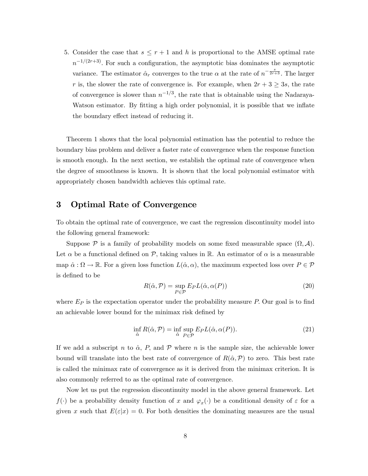5. Consider the case that  $s \leq r + 1$  and h is proportional to the AMSE optimal rate  $n^{-1/(2r+3)}$ . For such a configuration, the asymptotic bias dominates the asymptotic variance. The estimator  $\hat{\alpha}_r$  converges to the true  $\alpha$  at the rate of  $n^{-\frac{s}{2r+3}}$ . The larger r is, the slower the rate of convergence is. For example, when  $2r + 3 \geq 3s$ , the rate of convergence is slower than  $n^{-1/3}$ , the rate that is obtainable using the Nadaraya-Watson estimator. By fitting a high order polynomial, it is possible that we inflate the boundary effect instead of reducing it.

Theorem 1 shows that the local polynomial estimation has the potential to reduce the boundary bias problem and deliver a faster rate of convergence when the response function is smooth enough. In the next section, we establish the optimal rate of convergence when the degree of smoothness is known. It is shown that the local polynomial estimator with appropriately chosen bandwidth achieves this optimal rate.

### 3 Optimal Rate of Convergence

To obtain the optimal rate of convergence, we cast the regression discontinuity model into the following general framework:

Suppose  $P$  is a family of probability models on some fixed measurable space  $(\Omega, \mathcal{A})$ . Let  $\alpha$  be a functional defined on P, taking values in R. An estimator of  $\alpha$  is a measurable map  $\hat{\alpha} : \Omega \to \mathbb{R}$ . For a given loss function  $L(\hat{\alpha}, \alpha)$ , the maximum expected loss over  $P \in \mathcal{P}$ is defined to be

$$
R(\hat{\alpha}, \mathcal{P}) = \sup_{P \in \mathcal{P}} E_P L(\hat{\alpha}, \alpha(P))
$$
\n(20)

where  $E_P$  is the expectation operator under the probability measure P. Our goal is to find an achievable lower bound for the minimax risk defined by

$$
\inf_{\hat{\alpha}} R(\hat{\alpha}, \mathcal{P}) = \inf_{\hat{\alpha}} \sup_{P \in \mathcal{P}} E_P L(\hat{\alpha}, \alpha(P)).
$$
\n(21)

If we add a subscript n to  $\hat{\alpha}$ , P, and P where n is the sample size, the achievable lower bound will translate into the best rate of convergence of  $R(\hat{\alpha},P)$  to zero. This best rate is called the minimax rate of convergence as it is derived from the minimax criterion. It is also commonly referred to as the optimal rate of convergence.

Now let us put the regression discontinuity model in the above general framework. Let  $f(\cdot)$  be a probability density function of x and  $\varphi_x(\cdot)$  be a conditional density of  $\varepsilon$  for a given x such that  $E(\varepsilon|x) = 0$ . For both densities the dominating measures are the usual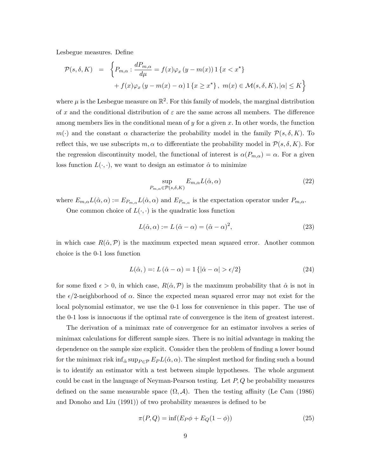Lesbegue measures. Define

$$
\mathcal{P}(s,\delta,K) = \left\{ P_{m,\alpha} : \frac{dP_{m,\alpha}}{d\mu} = f(x)\varphi_x(y-m(x)) \mathbb{1}\left\{x < x^*\right\} + f(x)\varphi_x(y-m(x)-\alpha) \mathbb{1}\left\{x \ge x^*\right\}, \ m(x) \in \mathcal{M}(s,\delta,K), |\alpha| \le K \right\}
$$

where  $\mu$  is the Lesbegue measure on  $\mathbb{R}^2$ . For this family of models, the marginal distribution of x and the conditional distribution of  $\varepsilon$  are the same across all members. The difference among members lies in the conditional mean of  $y$  for a given  $x$ . In other words, the function  $m(\cdot)$  and the constant  $\alpha$  characterize the probability model in the family  $\mathcal{P}(s, \delta, K)$ . To reflect this, we use subscripts  $m, \alpha$  to differentiate the probability model in  $\mathcal{P}(s, \delta, K)$ . For the regression discontinuity model, the functional of interest is  $\alpha(P_{m,\alpha}) = \alpha$ . For a given loss function  $L(\cdot, \cdot)$ , we want to design an estimator  $\hat{\alpha}$  to minimize

$$
\sup_{P_{m,\alpha}\in\mathcal{P}(s,\delta,K)} E_{m,\alpha} L(\hat{\alpha},\alpha) \tag{22}
$$

where  $E_{m,\alpha}L(\hat{\alpha}, \alpha) := E_{P_{m,\alpha}}L(\hat{\alpha}, \alpha)$  and  $E_{P_{m,\alpha}}$  is the expectation operator under  $P_{m,\alpha}$ .

One common choice of  $L(\cdot, \cdot)$  is the quadratic loss function

$$
L(\hat{\alpha}, \alpha) := L(\hat{\alpha} - \alpha) = (\hat{\alpha} - \alpha)^2,
$$
\n(23)

in which case  $R(\hat{\alpha}, \mathcal{P})$  is the maximum expected mean squared error. Another common choice is the 0-1 loss function

$$
L(\hat{\alpha},) =: L(\hat{\alpha} - \alpha) = 1\{|\hat{\alpha} - \alpha| > \epsilon/2\}
$$
\n(24)

for some fixed  $\epsilon > 0$ , in which case,  $R(\hat{\alpha}, \mathcal{P})$  is the maximum probability that  $\hat{\alpha}$  is not in the  $\epsilon/2$ -neighborhood of  $\alpha$ . Since the expected mean squared error may not exist for the local polynomial estimator, we use the 0-1 loss for convenience in this paper. The use of the 0-1 loss is innocuous if the optimal rate of convergence is the item of greatest interest.

The derivation of a minimax rate of convergence for an estimator involves a series of minimax calculations for different sample sizes. There is no initial advantage in making the dependence on the sample size explicit. Consider then the problem of finding a lower bound for the minimax risk inf<sub> $\hat{\alpha}$ </sub> sup<sub>P $\in \mathcal{P}$ </sub>  $E_P L(\hat{\alpha}, \alpha)$ . The simplest method for finding such a bound is to identify an estimator with a test between simple hypotheses. The whole argument could be cast in the language of Neyman-Pearson testing. Let  $P,Q$  be probability measures defined on the same measurable space  $(\Omega, \mathcal{A})$ . Then the testing affinity (Le Cam (1986) and Donoho and Liu (1991)) of two probability measures is defined to be

$$
\pi(P,Q) = \inf(E_P \phi + E_Q(1-\phi))\tag{25}
$$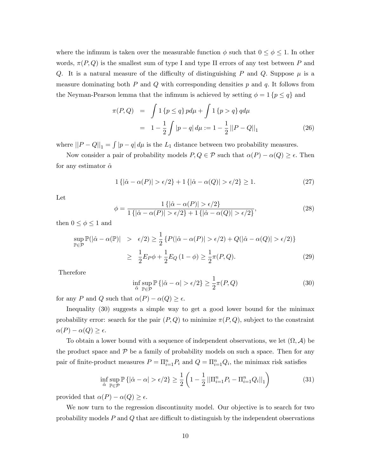where the infimum is taken over the measurable function  $\phi$  such that  $0 \le \phi \le 1$ . In other words,  $\pi(P,Q)$  is the smallest sum of type I and type II errors of any test between P and Q. It is a natural measure of the difficulty of distinguishing P and Q. Suppose  $\mu$  is a measure dominating both  $P$  and  $Q$  with corresponding densities  $p$  and  $q$ . It follows from the Neyman-Pearson lemma that the infimum is achieved by setting  $\phi = 1$  { $p \leq q$ } and

$$
\pi(P,Q) = \int 1 \{p \le q\} \, pd\mu + \int 1 \{p > q\} \, q d\mu
$$
  
= 
$$
1 - \frac{1}{2} \int |p - q| \, d\mu := 1 - \frac{1}{2} ||P - Q||_1
$$
 (26)

where  $||P - Q||_1 = \int |p - q| d\mu$  is the  $L_1$  distance between two probability measures.

Now consider a pair of probability models  $P, Q \in \mathcal{P}$  such that  $\alpha(P) - \alpha(Q) \geq \epsilon$ . Then for any estimator  $\hat{\alpha}$ 

$$
1\{|\hat{\alpha} - \alpha(P)| > \epsilon/2\} + 1\{|\hat{\alpha} - \alpha(Q)| > \epsilon/2\} \ge 1.
$$
 (27)

Let

$$
\phi = \frac{1\{|\hat{\alpha} - \alpha(P)| > \epsilon/2\}}{1\{|\hat{\alpha} - \alpha(P)| > \epsilon/2\} + 1\{|\hat{\alpha} - \alpha(Q)| > \epsilon/2\}},\tag{28}
$$

then  $0\leq \phi \leq 1$  and

$$
\sup_{\mathbb{P}\in\mathcal{P}}\mathbb{P}(|\hat{\alpha}-\alpha(\mathbb{P})| > \epsilon/2) \ge \frac{1}{2} \left\{ P(|\hat{\alpha}-\alpha(P)| > \epsilon/2) + Q(|\hat{\alpha}-\alpha(Q)| > \epsilon/2) \right\}
$$
\n
$$
\ge \frac{1}{2} E_P \phi + \frac{1}{2} E_Q \left(1-\phi\right) \ge \frac{1}{2} \pi(P,Q). \tag{29}
$$

Therefore

$$
\inf_{\hat{\alpha}} \sup_{\mathbb{P}\in\mathcal{P}} \mathbb{P}\left\{|\hat{\alpha} - \alpha| > \epsilon/2\right\} \ge \frac{1}{2}\pi(P, Q) \tag{30}
$$

for any P and Q such that  $\alpha(P) - \alpha(Q) \geq \epsilon$ .

Inequality (30) suggests a simple way to get a good lower bound for the minimax probability error: search for the pair  $(P, Q)$  to minimize  $\pi(P, Q)$ , subject to the constraint  $\alpha(P) - \alpha(Q) \geq \epsilon.$ 

To obtain a lower bound with a sequence of independent observations, we let  $(\Omega, \mathcal{A})$  be the product space and  $P$  be a family of probability models on such a space. Then for any pair of finite-product measures  $P = \prod_{i=1}^{n} P_i$  and  $Q = \prod_{i=1}^{n} Q_i$ , the minimax risk satisfies

$$
\inf_{\hat{\alpha}} \sup_{\mathbb{P}\in\mathcal{P}} \mathbb{P}\left\{|\hat{\alpha} - \alpha| > \epsilon/2\right\} \ge \frac{1}{2} \left(1 - \frac{1}{2} \left|\left|\Pi_{i=1}^n P_i - \Pi_{i=1}^n Q_i\right|\right|_1\right) \tag{31}
$$

provided that  $\alpha(P) - \alpha(Q) \geq \epsilon$ .

We now turn to the regression discontinuity model. Our objective is to search for two probability models  $P$  and  $Q$  that are difficult to distinguish by the independent observations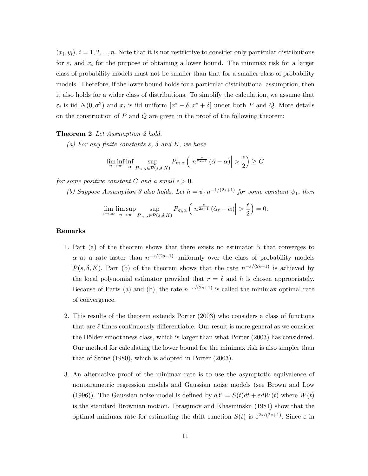$(x_i, y_i), i = 1, 2, ..., n.$  Note that it is not restrictive to consider only particular distributions for  $\varepsilon_i$  and  $x_i$  for the purpose of obtaining a lower bound. The minimax risk for a larger class of probability models must not be smaller than that for a smaller class of probability models. Therefore, if the lower bound holds for a particular distributional assumption, then it also holds for a wider class of distributions. To simplify the calculation, we assume that  $\varepsilon_i$  is iid  $N(0, \sigma^2)$  and  $x_i$  is iid uniform  $[x^* - \delta, x^* + \delta]$  under both P and Q. More details on the construction of  $P$  and  $Q$  are given in the proof of the following theorem:

#### Theorem 2 Let Assumption 2 hold.

(a) For any finite constants s,  $\delta$  and K, we have

$$
\liminf_{n \to \infty} \inf_{\hat{\alpha}} \sup_{P_{m,\alpha} \in \mathcal{P}(s,\delta,K)} P_{m,\alpha} \left( \left| n^{\frac{s}{2s+1}} (\hat{\alpha} - \alpha) \right| > \frac{\epsilon}{2} \right) \ge C
$$

for some positive constant C and a small  $\epsilon > 0$ .

(b) Suppose Assumption 3 also holds. Let  $h = \psi_1 n^{-1/(2s+1)}$  for some constant  $\psi_1$ , then

$$
\lim_{\epsilon \to \infty} \limsup_{n \to \infty} \sup_{P_{m,\alpha} \in \mathcal{P}(s,\delta,K)} P_{m,\alpha}\left( \left| n^{\frac{s}{2s+1}}\left( \hat{\alpha}_{\ell} - \alpha \right) \right| > \frac{\epsilon}{2} \right) = 0.
$$

#### Remarks

- 1. Part (a) of the theorem shows that there exists no estimator  $\hat{\alpha}$  that converges to  $\alpha$  at a rate faster than  $n^{-s/(2s+1)}$  uniformly over the class of probability models  $\mathcal{P}(s,\delta,K)$ . Part (b) of the theorem shows that the rate  $n^{-s/(2s+1)}$  is achieved by the local polynomial estimator provided that  $r = \ell$  and h is chosen appropriately. Because of Parts (a) and (b), the rate  $n^{-s/(2s+1)}$  is called the minimax optimal rate of convergence.
- 2. This results of the theorem extends Porter (2003) who considers a class of functions that are  $\ell$  times continuously differentiable. Our result is more general as we consider the Hölder smoothness class, which is larger than what Porter (2003) has considered. Our method for calculating the lower bound for the minimax risk is also simpler than that of Stone (1980), which is adopted in Porter (2003).
- 3. An alternative proof of the minimax rate is to use the asymptotic equivalence of nonparametric regression models and Gaussian noise models (see Brown and Low (1996)). The Gaussian noise model is defined by  $dY = S(t)dt + \varepsilon dW(t)$  where  $W(t)$ is the standard Brownian motion. Ibragimov and Khasminskii (1981) show that the optimal minimax rate for estimating the drift function  $S(t)$  is  $\varepsilon^{2s/(2s+1)}$ . Since  $\varepsilon$  in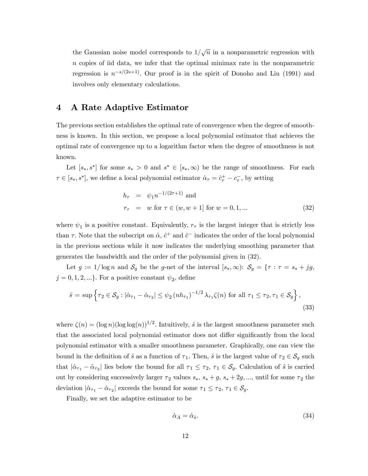the Gaussian noise model corresponds to  $1/\sqrt{n}$  in a nonparametric regression with n copies of iid data, we infer that the optimal minimax rate in the nonparametric regression is  $n^{-s/(2s+1)}$ . Our proof is in the spirit of Donoho and Liu (1991) and involves only elementary calculations.

### 4 A Rate Adaptive Estimator

The previous section establishes the optimal rate of convergence when the degree of smoothness is known. In this section, we propose a local polynomial estimator that achieves the optimal rate of convergence up to a logarithm factor when the degree of smoothness is not known.

Let  $[s_*, s^*]$  for some  $s_* > 0$  and  $s^* \in [s_*, \infty)$  be the range of smoothness. For each  $\tau \in [s_*, s^*]$ , we define a local polynomial estimator  $\hat{\alpha}_{\tau} = \hat{c}_{\tau}^+ - c_{\tau}^-$ , by setting

$$
h_{\tau} = \psi_1 n^{-1/(2\tau+1)} \text{ and}
$$
  

$$
r_{\tau} = w \text{ for } \tau \in (w, w+1] \text{ for } w = 0, 1, ...
$$
 (32)

where  $\psi_1$  is a positive constant. Equivalently,  $r_{\tau}$  is the largest integer that is strictly less than  $\tau$ . Note that the subscript on  $\hat{\alpha}$ ,  $\hat{c}^+$  and  $\hat{c}^-$  indicates the order of the local polynomial in the previous sections while it now indicates the underlying smoothing parameter that generates the bandwidth and the order of the polynomial given in (32).

Let  $g := 1/\log n$  and  $S_g$  be the g-net of the interval  $[s_*,\infty): S_g = \{ \tau : \tau = s_* + jg; \tau \in S \}$  $j = 0, 1, 2, \ldots$ . For a positive constant  $\psi_2$ , define

$$
\hat{s} = \sup \left\{ \tau_2 \in \mathcal{S}_g : |\hat{\alpha}_{\tau_1} - \hat{\alpha}_{\tau_2}| \le \psi_2 (n h_{\tau_1})^{-1/2} \lambda_{\tau_1} \zeta(n) \text{ for all } \tau_1 \le \tau_2, \tau_1 \in \mathcal{S}_g \right\},\tag{33}
$$

where  $\zeta(n) = (\log n)(\log \log(n))^{1/2}$ . Intuitively,  $\hat{s}$  is the largest smoothness parameter such that the associated local polynomial estimator does not differ significantly from the local polynomial estimator with a smaller smoothness parameter. Graphically, one can view the bound in the definition of  $\hat{s}$  as a function of  $\tau_1$ . Then,  $\hat{s}$  is the largest value of  $\tau_2 \in S_g$  such that  $|\hat{\alpha}_{\tau_1} - \hat{\alpha}_{\tau_2}|$  lies below the bound for all  $\tau_1 \le \tau_2$ ,  $\tau_1 \in S_g$ . Calculation of  $\hat{s}$  is carried out by considering successively larger  $\tau_2$  values  $s_*, s_* + g, s_* + 2g, \ldots$ , until for some  $\tau_2$  the deviation  $|\hat{\alpha}_{\tau_1} - \hat{\alpha}_{\tau_2}|$  exceeds the bound for some  $\tau_1 \le \tau_2$ ,  $\tau_1 \in \mathcal{S}_g$ .

Finally, we set the adaptive estimator to be

$$
\hat{\alpha}_A = \hat{\alpha}_{\hat{s}}.\tag{34}
$$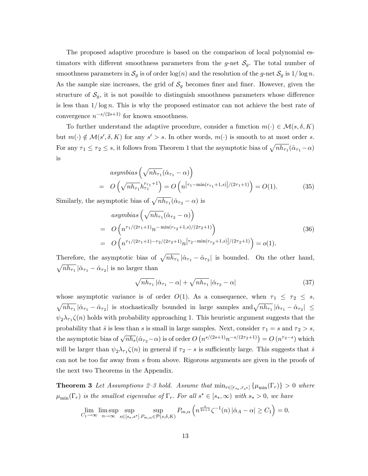The proposed adaptive procedure is based on the comparison of local polynomial estimators with different smoothness parameters from the g-net  $\mathcal{S}_g$ . The total number of smoothness parameters in  $\mathcal{S}_g$  is of order  $\log(n)$  and the resolution of the g-net  $\mathcal{S}_g$  is  $1/\log n$ . As the sample size increases, the grid of  $S<sub>g</sub>$  becomes finer and finer. However, given the structure of  $\mathcal{S}_g$ , it is not possible to distinguish smoothness parameters whose difference is less than  $1/\log n$ . This is why the proposed estimator can not achieve the best rate of convergence  $n^{-s/(2s+1)}$  for known smoothness.

To further understand the adaptive procedure, consider a function  $m(\cdot) \in \mathcal{M}(s, \delta, K)$ but  $m(\cdot) \notin \mathcal{M}(s', \delta, K)$  for any  $s' > s$ . In other words,  $m(\cdot)$  is smooth to at most order s. For any  $\tau_1 \le \tau_2 \le s$ , it follows from Theorem 1 that the asymptotic bias of  $\sqrt{nh_{\tau_1}}(\hat{\alpha}_{\tau_1}-\alpha)$ is

$$
asymbias \left(\sqrt{nh_{\tau_1}}(\hat{\alpha}_{\tau_1} - \alpha)\right)
$$
  
=  $O\left(\sqrt{nh_{\tau_1}}h_{\tau_1}^{r_{\tau_1}+1}\right) = O\left(n^{[\tau_1 - \min(r_{\tau_1} + 1, s)]/(2\tau_1 + 1)}\right) = O(1).$  (35)

Similarly, the asymptotic bias of  $\sqrt{nh_{\tau_1}}(\hat{\alpha}_{\tau_2} - \alpha)$  is

$$
asymbias \left(\sqrt{nh_{\tau_1}}(\hat{\alpha}_{\tau_2} - \alpha)\right)
$$
  
=  $O\left(n^{\tau_1/(2\tau_1+1)}n^{-\min(r_{\tau_2}+1,s)/(2\tau_2+1)}\right)$   
=  $O\left(n^{\tau_1/(2\tau_1+1)-\tau_2/(2\tau_2+1)}n^{\tau_2-\min(r_{\tau_2}+1,s)/(2\tau_2+1)}\right) = o(1).$  (36)

Therefore, the asymptotic bias of  $\sqrt{nh_{\tau_1}} |\hat{\alpha}_{\tau_1} - \hat{\alpha}_{\tau_2}|$  is bounded. On the other hand,  $\sqrt{nh_{\tau_1}} |\hat{\alpha}_{\tau_1} - \hat{\alpha}_{\tau_2}|$  is no larger than

$$
\sqrt{nh_{\tau_1}} |\hat{\alpha}_{\tau_1} - \alpha| + \sqrt{nh_{\tau_1}} |\hat{\alpha}_{\tau_2} - \alpha| \tag{37}
$$

whose asymptotic variance is of order  $O(1)$ . As a consequence, when  $\tau_1 \leq \tau_2 \leq s$ ,  $\sqrt{nh_{\tau_1}} |\hat{\alpha}_{\tau_1} - \hat{\alpha}_{\tau_2}|$  is stochastically bounded in large samples  $\text{and} \sqrt{nh_{\tau_1}} |\hat{\alpha}_{\tau_1} - \hat{\alpha}_{\tau_2}| \leq$  $\psi_2 \lambda_{\tau_1} \zeta(n)$  holds with probability approaching 1. This heuristic argument suggests that the probability that  $\hat{s}$  is less than s is small in large samples. Next, consider  $\tau_1 = s$  and  $\tau_2 > s$ , the asymptotic bias of  $\sqrt{nh_s}(\hat{\alpha}_{\tau_2}-\alpha)$  is of order  $O(n^{s/(2s+1)}n^{-s/(2\tau_2+1)})=O(n^{\tau_2-s})$  which will be larger than  $\psi_2 \lambda_{\tau_1} \zeta(n)$  in general if  $\tau_2 - s$  is sufficiently large. This suggests that  $\hat{s}$ can not be too far away from s from above. Rigorous arguments are given in the proofs of the next two Theorems in the Appendix.

**Theorem 3** Let Assumptions 2–3 hold. Assume that  $\min_{r \in [r_{s_*}, r_{s^*}]} \{\mu_{\min}(\Gamma_r)\} > 0$  where  $\mu_{\min}(\Gamma_r)$  is the smallest eigenvalue of  $\Gamma_r$ . For all  $s^* \in [s_*,\infty)$  with  $s_* > 0$ , we have

$$
\lim_{C_1 \to \infty} \limsup_{n \to \infty} \sup_{s \in [s_*, s^*]} \sup_{P_{m,\alpha} \in \mathcal{P}(s,\delta,K)} P_{m,\alpha} \left( n^{\frac{s}{2s+1}} \zeta^{-1}(n) \left| \hat{\alpha}_A - \alpha \right| \ge C_1 \right) = 0.
$$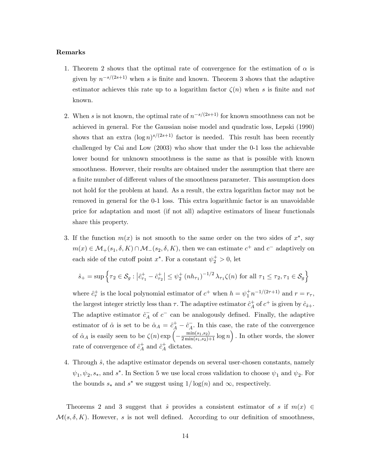#### Remarks

- 1. Theorem 2 shows that the optimal rate of convergence for the estimation of  $\alpha$  is given by  $n^{-s/(2s+1)}$  when s is finite and known. Theorem 3 shows that the adaptive estimator achieves this rate up to a logarithm factor  $\zeta(n)$  when s is finite and not known.
- 2. When s is not known, the optimal rate of  $n^{-s/(2s+1)}$  for known smoothness can not be achieved in general. For the Gaussian noise model and quadratic loss, Lepski (1990) shows that an extra  $(\log n)^{s/(2s+1)}$  factor is needed. This result has been recently challenged by Cai and Low (2003) who show that under the 0-1 loss the achievable lower bound for unknown smoothness is the same as that is possible with known smoothness. However, their results are obtained under the assumption that there are a finite number of different values of the smoothness parameter. This assumption does not hold for the problem at hand. As a result, the extra logarithm factor may not be removed in general for the 0-1 loss. This extra logarithmic factor is an unavoidable price for adaptation and most (if not all) adaptive estimators of linear functionals share this property.
- 3. If the function  $m(x)$  is not smooth to the same order on the two sides of  $x^*$ , say  $m(x) \in \mathcal{M}_+(s_1, \delta, K) \cap \mathcal{M}_-(s_2, \delta, K)$ , then we can estimate  $c^+$  and  $c^-$  adaptively on each side of the cutoff point  $x^*$ . For a constant  $\psi_2^+ > 0$ , let

$$
\hat{s}_+ = \sup\left\{\tau_2\in\mathcal{S}_g: \left|\hat{c}_{\tau_1}^+-\hat{c}_{\tau_2}^+\right| \leq \psi_2^+\left(nh_{\tau_1}\right)^{-1/2}\lambda_{\tau_1}\zeta(n)\text{ for all }\tau_1\leq \tau_2,\tau_1\in\mathcal{S}_g\right\}
$$

where  $\hat{c}_{\tau}^+$  is the local polynomial estimator of  $c^+$  when  $h = \psi_1^+ n^{-1/(2\tau+1)}$  and  $r = r_{\tau}$ , the largest integer strictly less than  $\tau$ . The adaptive estimator  $\hat{c}_A^+$  $_A^+$  of  $c^+$  is given by  $\hat{c}_{\hat{s}+}$ . The adaptive estimator  $\hat{c}_A^-$  of  $c^-$  can be analogously defined. Finally, the adaptive estimator of  $\hat{\alpha}$  is set to be  $\hat{\alpha}_A = \hat{c}_A^+ - \hat{c}_A^-$ . In this case, the rate of the convergence of  $\hat{\alpha}_A$  is easily seen to be  $\zeta(n) \exp \left(-\frac{\min(s_1,s_2)}{2\min(s_1,s_2)+1} \log n\right)$ . In other words, the slower rate of convergence of  $\hat{c}_A^+$  $A^{\dagger}$  and  $\hat{c}^{\dagger}_A$  $_A^+$  dictates.

4. Through  $\hat{s}$ , the adaptive estimator depends on several user-chosen constants, namely  $\psi_1, \psi_2, s_*,$  and  $s^*$ . In Section 5 we use local cross validation to choose  $\psi_1$  and  $\psi_2$ . For the bounds  $s_*$  and  $s^*$  we suggest using  $1/\log(n)$  and  $\infty$ , respectively.

Theorems 2 and 3 suggest that  $\hat{s}$  provides a consistent estimator of s if  $m(x) \in$  $\mathcal{M}(s, \delta, K)$ . However, s is not well defined. According to our definition of smoothness,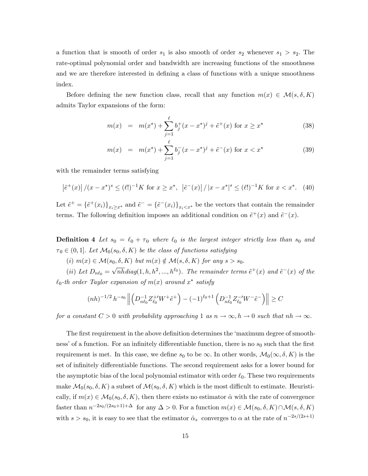a function that is smooth of order  $s_1$  is also smooth of order  $s_2$  whenever  $s_1 > s_2$ . The rate-optimal polynomial order and bandwidth are increasing functions of the smoothness and we are therefore interested in defining a class of functions with a unique smoothness index.

Before defining the new function class, recall that any function  $m(x) \in \mathcal{M}(s, \delta, K)$ admits Taylor expansions of the form:

$$
m(x) = m(x^*) + \sum_{j=1}^{\ell} b_j^+(x - x^*)^j + \tilde{e}^+(x) \text{ for } x \ge x^* \tag{38}
$$

$$
m(x) = m(x^*) + \sum_{j=1}^{\ell} b_j^-(x - x^*)^j + \tilde{e}^-(x) \text{ for } x < x^* \tag{39}
$$

with the remainder terms satisfying

$$
\left|\tilde{e}^{+}(x)\right|/(x-x^{*})^{s} \leq (\ell!)^{-1}K \text{ for } x \geq x^{*}, \ \left|\tilde{e}^{-}(x)\right|/|x-x^{*}|^{s} \leq (\ell!)^{-1}K \text{ for } x < x^{*}. \tag{40}
$$

Let  $\tilde{e}^+ = \{\tilde{e}^+(x_i)\}_{x_i \geq x^*}$  and  $\tilde{e}^- = \{\tilde{e}^-(x_i)\}_{x_i \leq x^*}$  be the vectors that contain the remainder terms. The following definition imposes an additional condition on  $\tilde{e}^+(x)$  and  $\tilde{e}^-(x)$ .

**Definition 4** Let  $s_0 = \ell_0 + \tau_0$  where  $\ell_0$  is the largest integer strictly less than  $s_0$  and  $\tau_0 \in (0, 1]$ . Let  $\mathcal{M}_0(s_0, \delta, K)$  be the class of functions satisfying

(i)  $m(x) \in \mathcal{M}(s_0, \delta, K)$  but  $m(x) \notin \mathcal{M}(s, \delta, K)$  for any  $s > s_0$ .

(ii) Let  $D_{n\ell_0} = \sqrt{n h} diag(1, h, h^2, ..., h^{\ell_0})$ . The remainder terms  $\tilde{e}^+(x)$  and  $\tilde{e}^-(x)$  of the  $\ell_0$ -th order Taylor expansion of  $m(x)$  around  $x^*$  satisfy

$$
(nh)^{-1/2} h^{-s_0} \left\| \left( D_{n\ell_0}^{-1} Z_{\ell_0}^{+ \prime} W^+ \tilde{e}^+ \right) - (-1)^{\ell_0 + 1} \left( D_{n\ell_0}^{-1} Z_{\ell_0}^{- \prime} W^- \tilde{e}^- \right) \right\| \ge C
$$

for a constant  $C > 0$  with probability approaching 1 as  $n \to \infty$ ,  $h \to 0$  such that  $nh \to \infty$ .

The first requirement in the above definition determines the 'maximum degree of smoothness' of a function. For an infinitely differentiable function, there is no  $s_0$  such that the first requirement is met. In this case, we define  $s_0$  to be  $\infty$ . In other words,  $\mathcal{M}_0(\infty, \delta, K)$  is the set of infinitely differentiable functions. The second requirement asks for a lower bound for the asymptotic bias of the local polynomial estimator with order  $\ell_0$ . These two requirements make  $\mathcal{M}_0(s_0, \delta, K)$  a subset of  $\mathcal{M}(s_0, \delta, K)$  which is the most difficult to estimate. Heuristically, if  $m(x) \in \mathcal{M}_0(s_0, \delta, K)$ , then there exists no estimator  $\hat{\alpha}$  with the rate of convergence faster than  $n^{-2s_0/(2s_0+1)+\Delta}$  for any  $\Delta > 0$ . For a function  $m(x) \in \mathcal{M}(s_0, \delta, K) \cap \mathcal{M}(s, \delta, K)$ with  $s > s_0$ , it is easy to see that the estimator  $\hat{\alpha}_s$  converges to  $\alpha$  at the rate of  $n^{-2s/(2s+1)}$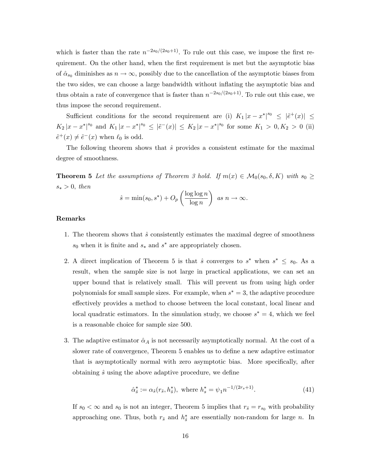which is faster than the rate  $n^{-2s_0/(2s_0+1)}$ . To rule out this case, we impose the first requirement. On the other hand, when the first requirement is met but the asymptotic bias of  $\hat{\alpha}_{s_0}$  diminishes as  $n \to \infty$ , possibly due to the cancellation of the asymptotic biases from the two sides, we can choose a large bandwidth without inflating the asymptotic bias and thus obtain a rate of convergence that is faster than  $n^{-2s_0/(2s_0+1)}$ . To rule out this case, we thus impose the second requirement.

Sufficient conditions for the second requirement are (i)  $K_1 |x - x^*|^{s_0} \leq |\tilde{e}^+(x)| \leq$  $K_2 |x-x^*|^{s_0}$  and  $K_1 |x-x^*|^{s_0} \leq |\tilde{e}^-(x)| \leq K_2 |x-x^*|^{s_0}$  for some  $K_1 > 0, K_2 > 0$  (ii)  $\tilde{e}^+(x) \neq \tilde{e}^-(x)$  when  $\ell_0$  is odd.

The following theorem shows that  $\hat{s}$  provides a consistent estimate for the maximal degree of smoothness.

**Theorem 5** Let the assumptions of Theorem 3 hold. If  $m(x) \in M_0(s_0, \delta, K)$  with  $s_0 \geq$  $s_* > 0$ , then

$$
\hat{s} = \min(s_0, s^*) + O_p\left(\frac{\log \log n}{\log n}\right) \text{ as } n \to \infty.
$$

### Remarks

- 1. The theorem shows that  $\hat{s}$  consistently estimates the maximal degree of smoothness  $s_0$  when it is finite and  $s_*$  and  $s^*$  are appropriately chosen.
- 2. A direct implication of Theorem 5 is that  $\hat{s}$  converges to  $s^*$  when  $s^* \leq s_0$ . As a result, when the sample size is not large in practical applications, we can set an upper bound that is relatively small. This will prevent us from using high order polynomials for small sample sizes. For example, when  $s^* = 3$ , the adaptive procedure effectively provides a method to choose between the local constant, local linear and local quadratic estimators. In the simulation study, we choose  $s^* = 4$ , which we feel is a reasonable choice for sample size 500.
- 3. The adaptive estimator  $\hat{\alpha}_A$  is not necessarily asymptotically normal. At the cost of a slower rate of convergence, Theorem 5 enables us to define a new adaptive estimator that is asymptotically normal with zero asymptotic bias. More specifically, after obtaining  $\hat{s}$  using the above adaptive procedure, we define

$$
\hat{\alpha}_{\hat{s}}^* := \alpha_{\hat{s}}(r_{\hat{s}}, h_{\hat{s}}^*), \text{ where } h_s^* = \psi_1 n^{-1/(2r_s+1)}.
$$
 (41)

If  $s_0 < \infty$  and  $s_0$  is not an integer, Theorem 5 implies that  $r_{\hat{s}} = r_{s_0}$  with probability approaching one. Thus, both  $r_{\hat{s}}$  and  $h_{\hat{s}}^*$  are essentially non-random for large n. In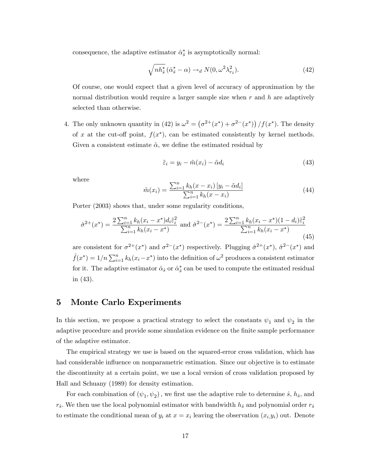consequence, the adaptive estimator  $\hat{\alpha}_{\hat{s}}^*$  is asymptotically normal:

$$
\sqrt{nh_{\hat{s}}^*} \left(\hat{\alpha}_{\hat{s}}^* - \alpha\right) \to_d N(0, \omega^2 \lambda_{r_{\hat{s}}}^2). \tag{42}
$$

Of course, one would expect that a given level of accuracy of approximation by the normal distribution would require a larger sample size when  $r$  and  $h$  are adaptively selected than otherwise.

4. The only unknown quantity in (42) is  $\omega^2 = (\sigma^{2+}(x^*) + \sigma^{2-}(x^*)) / f(x^*)$ . The density of x at the cut-off point,  $f(x^*)$ , can be estimated consistently by kernel methods. Given a consistent estimate  $\tilde{\alpha}$ , we define the estimated residual by

$$
\tilde{\varepsilon}_i = y_i - \tilde{m}(x_i) - \tilde{\alpha} d_i \tag{43}
$$

where

$$
\tilde{m}(x_i) = \frac{\sum_{i=1}^{n} k_h (x - x_i) [y_i - \tilde{\alpha} d_i]}{\sum_{i=1}^{n} k_h (x - x_i)}
$$
\n(44)

Porter (2003) shows that, under some regularity conditions,

$$
\hat{\sigma}^{2+}(x^*) = \frac{2\sum_{i=1}^n k_h(x_i - x^*)d_i\tilde{\varepsilon}_i^2}{\sum_{i=1}^n k_h(x_i - x^*)} \text{ and } \hat{\sigma}^{2-}(x^*) = \frac{2\sum_{i=1}^n k_h(x_i - x^*)(1 - d_i)\tilde{\varepsilon}_i^2}{\sum_{i=1}^n k_h(x_i - x^*)}
$$
(45)

are consistent for  $\sigma^{2+}(x^*)$  and  $\sigma^{2-}(x^*)$  respectively. Plugging  $\hat{\sigma}^{2+}(x^*)$ ,  $\hat{\sigma}^{2-}(x^*)$  and  $\hat{f}(x^*) = 1/n \sum_{i=1}^n k_h(x_i - x^*)$  into the definition of  $\omega^2$  produces a consistent estimator for it. The adaptive estimator  $\hat{\alpha}_{\hat{s}}$  or  $\hat{\alpha}_{\hat{s}}^{*}$  can be used to compute the estimated residual in (43).

### 5 Monte Carlo Experiments

In this section, we propose a practical strategy to select the constants  $\psi_1$  and  $\psi_2$  in the adaptive procedure and provide some simulation evidence on the finite sample performance of the adaptive estimator.

The empirical strategy we use is based on the squared-error cross validation, which has had considerable influence on nonparametric estimation. Since our objective is to estimate the discontinuity at a certain point, we use a local version of cross validation proposed by Hall and Schuany (1989) for density estimation.

For each combination of  $(\psi_1, \psi_2)$ , we first use the adaptive rule to determine  $\hat{s}$ ,  $h_{\hat{s}}$ , and  $r_{\hat{s}}$ . We then use the local polynomial estimator with bandwidth  $h_{\hat{s}}$  and polynomial order  $r_{\hat{s}}$ to estimate the conditional mean of  $y_i$  at  $x = x_i$  leaving the observation  $(x_i, y_i)$  out. Denote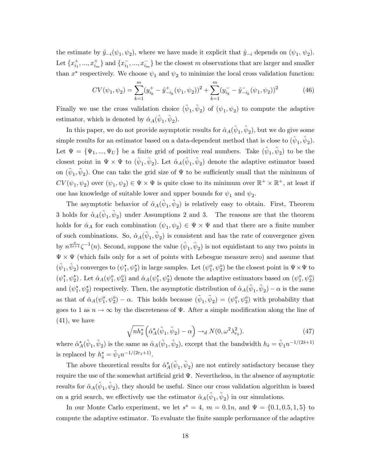the estimate by  $\hat{y}_{-i}(\psi_1, \psi_2)$ , where we have made it explicit that  $\hat{y}_{-i}$  depends on  $(\psi_1, \psi_2)$ . Let  $\{x_{i_1}^+, ..., x_{i_m}^+\}$  and  $\{x_{i_1}^-, ..., x_{i_m}^-\}$  be the closest m observations that are larger and smaller than  $x^*$  respectively. We choose  $\psi_1$  and  $\psi_2$  to minimize the local cross validation function:

$$
CV(\psi_1, \psi_2) = \sum_{k=1}^{m} (y_{i_k}^+ - \hat{y}_{-i_k}^+ (\psi_1, \psi_2))^2 + \sum_{k=1}^{m} (y_{i_k}^- - \hat{y}_{-i_k}^- (\psi_1, \psi_2))^2
$$
(46)

Finally we use the cross validation choice  $(\hat{\psi}_1, \hat{\psi}_2)$  of  $(\psi_1, \psi_2)$  to compute the adaptive estimator, which is denoted by  $\hat{\alpha}_A(\hat{\psi}_1, \hat{\psi}_2)$ .

In this paper, we do not provide asymptotic results for  $\hat{\alpha}_A(\hat{\psi}_1, \hat{\psi}_2)$ , but we do give some simple results for an estimator based on a data-dependent method that is close to  $(\hat{\psi}_1, \hat{\psi}_2)$ . Let  $\Psi = {\Psi_1, ..., \Psi_U}$  be a finite grid of positive real numbers. Take  $(\tilde{\psi}_1, \tilde{\psi}_2)$  to be the closest point in  $\Psi \times \Psi$  to  $(\hat{\psi}_1, \hat{\psi}_2)$ . Let  $\hat{\alpha}_A(\tilde{\psi}_1, \tilde{\psi}_2)$  denote the adaptive estimator based on  $({\tilde{\psi}}_1, {\tilde{\psi}}_2)$ . One can take the grid size of  $\Psi$  to be sufficiently small that the minimum of  $CV(\psi_1, \psi_2)$  over  $(\psi_1, \psi_2) \in \Psi \times \Psi$  is quite close to its minimum over  $\mathbb{R}^+ \times \mathbb{R}^+$ , at least if one has knowledge of suitable lower and upper bounds for  $\psi_1$  and  $\psi_2$ .

The asymptotic behavior of  $\hat{\alpha}_A(\tilde{\psi}_1, \tilde{\psi}_2)$  is relatively easy to obtain. First, Theorem 3 holds for  $\hat{\alpha}_A(\tilde{\psi}_1, \tilde{\psi}_2)$  under Assumptions 2 and 3. The reasons are that the theorem holds for  $\hat{\alpha}_A$  for each combination  $(\psi_1, \psi_2) \in \Psi \times \Psi$  and that there are a finite number of such combinations. So,  $\hat{\alpha}_A(\tilde{\psi}_1, \tilde{\psi}_2)$  is consistent and has the rate of convergence given by  $n^{\frac{s}{2s+1}} \zeta^{-1}(n)$ . Second, suppose the value  $(\hat{\psi}_1, \hat{\psi}_2)$  is not equidistant to any two points in  $\Psi \times \Psi$  (which fails only for a set of points with Lebesgue measure zero) and assume that  $(\hat{\psi}_1, \hat{\psi}_2)$  converges to  $(\psi_1^*, \psi_2^*)$  in large samples. Let  $(\psi_1^o, \psi_2^o)$  be the closest point in  $\Psi \times \Psi$  to  $(\psi_1^*, \psi_2^*)$ . Let  $\hat{\alpha}_A(\psi_1^0, \psi_2^0)$  and  $\hat{\alpha}_A(\psi_1^*, \psi_2^*)$  denote the adaptive estimators based on  $(\psi_1^0, \psi_2^0)$ and  $(\psi_1^*, \psi_2^*)$  respectively. Then, the asymptotic distribution of  $\hat{\alpha}_A(\tilde{\psi}_1, \tilde{\psi}_2) - \alpha$  is the same as that of  $\hat{\alpha}_A(\psi_1^o, \psi_2^o) - \alpha$ . This holds because  $(\tilde{\psi}_1, \tilde{\psi}_2) = (\psi_1^o, \psi_2^o)$  with probability that goes to 1 as  $n \to \infty$  by the discreteness of  $\Psi$ . After a simple modification along the line of  $(41)$ , we have

$$
\sqrt{nh_{\hat{s}}^*} \left( \hat{\alpha}_A^* (\tilde{\psi}_1, \tilde{\psi}_2) - \alpha \right) \to_d N(0, \omega^2 \lambda_{r_{\hat{s}}}^2). \tag{47}
$$

where  $\hat{\alpha}_A^*(\tilde{\psi}_1, \tilde{\psi}_2)$  is the same as  $\hat{\alpha}_A(\tilde{\psi}_1, \tilde{\psi}_2)$ , except that the bandwidth  $h_{\hat{s}} = \tilde{\psi}_1 n^{-1/(2\hat{s}+1)}$ is replaced by  $h_{\hat{s}}^* = \tilde{\psi}_1 n^{-1/(2r_{\hat{s}}+1)}$ .

The above theoretical results for  $\hat{\alpha}_A^* (\tilde{\psi}_1, \tilde{\psi}_2)$  are not entirely satisfactory because they require the use of the somewhat artificial grid  $\Psi$ . Nevertheless, in the absence of asymptotic results for  $\hat{\alpha}_A(\hat{\psi}_1, \hat{\psi}_2)$ , they should be useful. Since our cross validation algorithm is based on a grid search, we effectively use the estimator  $\hat{\alpha}_A(\tilde{\psi}_1, \tilde{\psi}_2)$  in our simulations.

In our Monte Carlo experiment, we let  $s^* = 4$ ,  $m = 0.1n$ , and  $\Psi = \{0.1, 0.5, 1, 5\}$  to compute the adaptive estimator. To evaluate the finite sample performance of the adaptive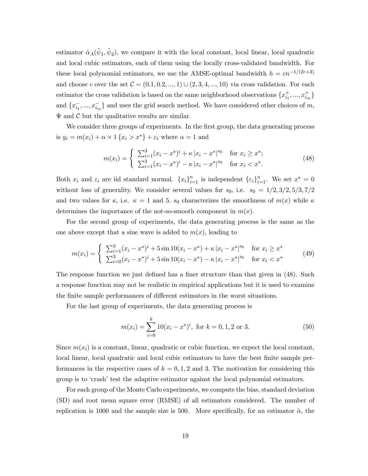estimator  $\hat{\alpha}_A(\tilde{\psi}_1, \tilde{\psi}_2)$ , we compare it with the local constant, local linear, local quadratic and local cubic estimators, each of them using the locally cross-validated bandwidth. For these local polynomial estimators, we use the AMSE-optimal bandwidth  $h = cn^{-1/(2r+3)}$ and choose c over the set  $C = (0.1, 0.2, ..., 1) \cup (2, 3, 4, ..., 10)$  via cross validation. For each estimator the cross validation is based on the same neighborhood observations  $\{x_{i_1}^+, ..., x_{i_m}^+\}$ and  $\{x_{i_1}^-, ..., x_{i_m}^-\}$  and uses the grid search method. We have considered other choices of m,  $\Psi$  and  $C$  but the qualitative results are similar.

We consider three groups of experiments. In the first group, the data generating process is  $y_i = m(x_i) + \alpha \times 1 \{x_i > x^*\} + \varepsilon_i$  where  $\alpha = 1$  and

$$
m(x_i) = \begin{cases} \sum_{i=1}^{3} (x_i - x^*)^i + \kappa |x_i - x^*|^{s_0} & \text{for } x_i \ge x^*;\\ \sum_{i=1}^{3} (x_i - x^*)^i - \kappa |x_i - x^*|^{s_0} & \text{for } x_i < x^*. \end{cases} \tag{48}
$$

Both  $x_i$  and  $\varepsilon_i$  are iid standard normal.  $\{x_i\}_{i=1}^n$  is independent  $\{\varepsilon_i\}_{i=1}^n$ . We set  $x^* = 0$ without loss of generality. We consider several values for  $s_0$ , i.e.  $s_0 = 1/2, 3/2, 5/3, 7/2$ and two values for  $\kappa$ , i.e.  $\kappa = 1$  and 5.  $s_0$  characterizes the smoothness of  $m(x)$  while  $\kappa$ determines the importance of the not-so-smooth component in  $m(x)$ .

For the second group of experiments, the data generating process is the same as the one above except that a sine wave is added to  $m(x)$ , leading to

$$
m(x_i) = \begin{cases} \sum_{i=1}^{3} (x_i - x^*)^i + 5\sin 10(x_i - x^*) + \kappa |x_i - x^*|^{s_0} & \text{for } x_i \ge x^*\\ \sum_{i=0}^{3} (x_i - x^*)^i + 5\sin 10(x_i - x^*) - \kappa |x_i - x^*|^{s_0} & \text{for } x_i < x^* \end{cases} \tag{49}
$$

The response function we just defined has a finer structure than that given in (48). Such a response function may not be realistic in empirical applications but it is used to examine the finite sample performances of different estimators in the worst situations.

For the last group of experiments, the data generating process is

$$
m(x_i) = \sum_{i=0}^{k} 10(x_i - x^*)^i, \text{ for } k = 0, 1, 2 \text{ or } 3.
$$
 (50)

Since  $m(x_i)$  is a constant, linear, quadratic or cubic function, we expect the local constant, local linear, local quadratic and local cubic estimators to have the best finite sample performances in the respective cases of  $k = 0, 1, 2$  and 3. The motivation for considering this group is to 'crash' test the adaptive estimator against the local polynomial estimators.

For each group of the Monte Carlo experiments, we compute the bias, standard deviation (SD) and root mean square error (RMSE) of all estimators considered. The number of replication is 1000 and the sample size is 500. More specifically, for an estimator  $\hat{\alpha}$ , the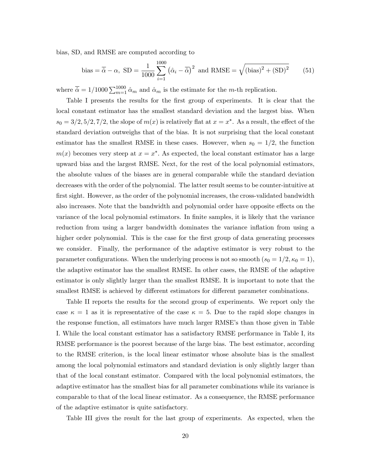bias, SD, and RMSE are computed according to

bias = 
$$
\overline{\hat{\alpha}} - \alpha
$$
, SD =  $\frac{1}{1000} \sum_{i=1}^{1000} (\hat{\alpha}_i - \overline{\hat{\alpha}})^2$  and RMSE =  $\sqrt{(\text{bias})^2 + (\text{SD})^2}$  (51)

where  $\bar{\hat{\alpha}} = 1/1000 \sum_{m=1}^{1000} \hat{\alpha}_m$  and  $\hat{\alpha}_m$  is the estimate for the m-th replication.

Table I presents the results for the first group of experiments. It is clear that the local constant estimator has the smallest standard deviation and the largest bias. When  $s_0 = 3/2, 5/2, 7/2$ , the slope of  $m(x)$  is relatively flat at  $x = x^*$ . As a result, the effect of the standard deviation outweighs that of the bias. It is not surprising that the local constant estimator has the smallest RMSE in these cases. However, when  $s_0 = 1/2$ , the function  $m(x)$  becomes very steep at  $x = x^*$ . As expected, the local constant estimator has a large upward bias and the largest RMSE. Next, for the rest of the local polynomial estimators, the absolute values of the biases are in general comparable while the standard deviation decreases with the order of the polynomial. The latter result seems to be counter-intuitive at first sight. However, as the order of the polynomial increases, the cross-validated bandwidth also increases. Note that the bandwidth and polynomial order have opposite effects on the variance of the local polynomial estimators. In Önite samples, it is likely that the variance reduction from using a larger bandwidth dominates the variance inflation from using a higher order polynomial. This is the case for the first group of data generating processes we consider. Finally, the performance of the adaptive estimator is very robust to the parameter configurations. When the underlying process is not so smooth  $(s_0 = 1/2, \kappa_0 = 1)$ , the adaptive estimator has the smallest RMSE. In other cases, the RMSE of the adaptive estimator is only slightly larger than the smallest RMSE. It is important to note that the smallest RMSE is achieved by different estimators for different parameter combinations.

Table II reports the results for the second group of experiments. We report only the case  $\kappa = 1$  as it is representative of the case  $\kappa = 5$ . Due to the rapid slope changes in the response function, all estimators have much larger RMSE's than those given in Table I. While the local constant estimator has a satisfactory RMSE performance in Table I, its RMSE performance is the poorest because of the large bias. The best estimator, according to the RMSE criterion, is the local linear estimator whose absolute bias is the smallest among the local polynomial estimators and standard deviation is only slightly larger than that of the local constant estimator. Compared with the local polynomial estimators, the adaptive estimator has the smallest bias for all parameter combinations while its variance is comparable to that of the local linear estimator. As a consequence, the RMSE performance of the adaptive estimator is quite satisfactory.

Table III gives the result for the last group of experiments. As expected, when the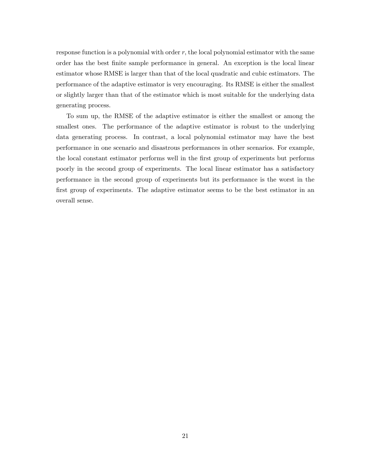response function is a polynomial with order  $r$ , the local polynomial estimator with the same order has the best Önite sample performance in general. An exception is the local linear estimator whose RMSE is larger than that of the local quadratic and cubic estimators. The performance of the adaptive estimator is very encouraging. Its RMSE is either the smallest or slightly larger than that of the estimator which is most suitable for the underlying data generating process.

To sum up, the RMSE of the adaptive estimator is either the smallest or among the smallest ones. The performance of the adaptive estimator is robust to the underlying data generating process. In contrast, a local polynomial estimator may have the best performance in one scenario and disastrous performances in other scenarios. For example, the local constant estimator performs well in the first group of experiments but performs poorly in the second group of experiments. The local linear estimator has a satisfactory performance in the second group of experiments but its performance is the worst in the first group of experiments. The adaptive estimator seems to be the best estimator in an overall sense.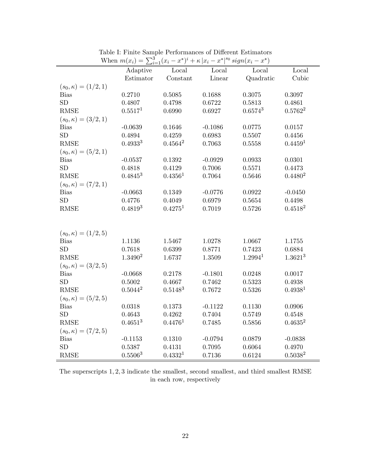|                            | $\cdots$<br>$\leftarrow_i=1$<br>Adaptive | $\frac{1}{2}$ $\frac{1}{2}$ $\frac{1}{2}$<br>Local | Local     | $\sim$ $\sim$ $\sim$ $\sim$ $\sim$ $\sim$<br>Local | Local               |
|----------------------------|------------------------------------------|----------------------------------------------------|-----------|----------------------------------------------------|---------------------|
|                            | Estimator                                | Constant                                           | Linear    | Quadratic                                          | Cubic               |
| $(s_0, \kappa) = (1/2, 1)$ |                                          |                                                    |           |                                                    |                     |
| <b>Bias</b>                | 0.2710                                   | 0.5085                                             | 0.1688    | 0.3075                                             | 0.3097              |
| ${\rm SD}$                 | 0.4807                                   | 0.4798                                             | 0.6722    | 0.5813                                             | 0.4861              |
| <b>RMSE</b>                | 0.5517 <sup>1</sup>                      | 0.6990                                             | 0.6927    | $0.6574^{3}$                                       | $0.5762^2$          |
| $(s_0, \kappa) = (3/2, 1)$ |                                          |                                                    |           |                                                    |                     |
| <b>Bias</b>                | $-0.0639$                                | 0.1646                                             | $-0.1086$ | 0.0775                                             | 0.0157              |
| SD                         | 0.4894                                   | 0.4259                                             | 0.6983    | 0.5507                                             | 0.4456              |
| <b>RMSE</b>                | $0.4933^{3}$                             | $0.4564^2$                                         | 0.7063    | 0.5558                                             | 0.4459 <sup>1</sup> |
| $(s_0, \kappa) = (5/2, 1)$ |                                          |                                                    |           |                                                    |                     |
| <b>Bias</b>                | $-0.0537$                                | 0.1392                                             | $-0.0929$ | 0.0933                                             | 0.0301              |
| SD                         | 0.4818                                   | 0.4129                                             | 0.7006    | 0.5571                                             | 0.4473              |
| <b>RMSE</b>                | $0.4845^3$                               | 0.4356 <sup>1</sup>                                | 0.7064    | 0.5646                                             | 0.4480 <sup>2</sup> |
| $(s_0, \kappa) = (7/2, 1)$ |                                          |                                                    |           |                                                    |                     |
| <b>Bias</b>                | $-0.0663$                                | 0.1349                                             | $-0.0776$ | 0.0922                                             | $-0.0450$           |
| ${\rm SD}$                 | 0.4776                                   | 0.4049                                             | 0.6979    | 0.5654                                             | 0.4498              |
| RMSE                       | $0.4819^{3}$                             | 0.4275 <sup>1</sup>                                | 0.7019    | 0.5726                                             | 0.4518 <sup>2</sup> |
|                            |                                          |                                                    |           |                                                    |                     |
|                            |                                          |                                                    |           |                                                    |                     |
| $(s_0, \kappa) = (1/2, 5)$ |                                          |                                                    |           |                                                    |                     |
| <b>Bias</b>                | 1.1136                                   | 1.5467                                             | 1.0278    | 1.0667                                             | 1.1755              |
| SD                         | 0.7618                                   | 0.6399                                             | 0.8771    | 0.7423                                             | 0.6884              |
| <b>RMSE</b>                | 1.3490 <sup>2</sup>                      | 1.6737                                             | 1.3509    | 1.2994 <sup>1</sup>                                | $1.3621^{3}$        |
| $(s_0, \kappa) = (3/2, 5)$ |                                          |                                                    |           |                                                    |                     |
| <b>Bias</b>                | $-0.0668$                                | 0.2178                                             | $-0.1801$ | 0.0248                                             | 0.0017              |
| SD                         | 0.5002                                   | 0.4667                                             | 0.7462    | 0.5323                                             | 0.4938              |
| <b>RMSE</b>                | $0.5044^2$                               | $0.5148^{3}$                                       | 0.7672    | 0.5326                                             | 0.4938 <sup>1</sup> |
| $(s_0, \kappa) = (5/2, 5)$ |                                          |                                                    |           |                                                    |                     |
| <b>Bias</b>                | 0.0318                                   | 0.1373                                             | $-0.1122$ | 0.1130                                             | 0.0906              |
| SD                         | 0.4643                                   | 0.4262                                             | 0.7404    | 0.5749                                             | 0.4548              |
| <b>RMSE</b>                | $0.4651^{3}$                             | 0.4476 <sup>1</sup>                                | 0.7485    | 0.5856                                             | $0.4635^2$          |
| $(s_0, \kappa) = (7/2, 5)$ |                                          |                                                    |           |                                                    |                     |
| <b>Bias</b>                | $-0.1153$                                | 0.1310                                             | $-0.0794$ | 0.0879                                             | $-0.0838$           |
| ${\rm SD}$                 | 0.5387                                   | 0.4131                                             | 0.7095    | 0.6064                                             | 0.4970              |
| <b>RMSE</b>                | 0.5506 <sup>3</sup>                      | 0.4332 <sup>1</sup>                                | 0.7136    | 0.6124                                             | $0.5038^{2}$        |

Table I: Finite Sample Performances of Different Estimators When  $m(x_i) = \sum_{i=1}^{3} (x_i - x^*)^i + \kappa |x_i - x^*|^{s_0} sign(x_i - x^*)$ 

The superscripts 1; 2; 3 indicate the smallest, second smallest, and third smallest RMSE in each row, respectively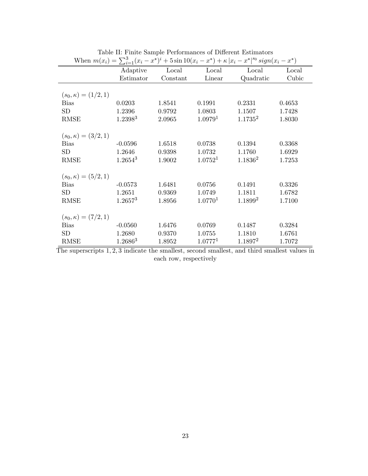| When $m(x_i) = \sum_{i=1}^{3} (x_i - x^*)^i + 5\sin 10(x_i - x^*) + \kappa  x_i - x^* ^{s_0} sign(x_i - x^*)$ |                     |          |                     |                     |        |
|---------------------------------------------------------------------------------------------------------------|---------------------|----------|---------------------|---------------------|--------|
|                                                                                                               | Adaptive            | Local    | Local               | Local               | Local  |
|                                                                                                               | Estimator           | Constant | Linear              | Quadratic           | Cubic  |
|                                                                                                               |                     |          |                     |                     |        |
| $(s_0, \kappa) = (1/2, 1)$                                                                                    |                     |          |                     |                     |        |
| <b>Bias</b>                                                                                                   | 0.0203              | 1.8541   | 0.1991              | 0.2331              | 0.4653 |
| <b>SD</b>                                                                                                     | 1.2396              | 0.9792   | 1.0803              | 1.1507              | 1.7428 |
| <b>RMSE</b>                                                                                                   | 1.2398 <sup>3</sup> | 2.0965   | 1.0979 <sup>1</sup> | $1.1735^2$          | 1.8030 |
|                                                                                                               |                     |          |                     |                     |        |
| $(s_0, \kappa) = (3/2, 1)$                                                                                    |                     |          |                     |                     |        |
| <b>Bias</b>                                                                                                   | $-0.0596$           | 1.6518   | 0.0738              | 0.1394              | 0.3368 |
| <b>SD</b>                                                                                                     | 1.2646              | 0.9398   | 1.0732              | 1.1760              | 1.6929 |
| <b>RMSE</b>                                                                                                   | $1.2654^3$          | 1.9002   | 1.0752 <sup>1</sup> | $1.1836^2$          | 1.7253 |
|                                                                                                               |                     |          |                     |                     |        |
| $(s_0, \kappa) = (5/2, 1)$                                                                                    |                     |          |                     |                     |        |
| <b>Bias</b>                                                                                                   | $-0.0573$           | 1.6481   | 0.0756              | 0.1491              | 0.3326 |
| SD                                                                                                            | 1.2651              | 0.9369   | 1.0749              | 1.1811              | 1.6782 |
| <b>RMSE</b>                                                                                                   | 1.2657 <sup>3</sup> | 1.8956   | 1.07701             | 1.1899 <sup>2</sup> | 1.7100 |
|                                                                                                               |                     |          |                     |                     |        |
| $(s_0, \kappa) = (7/2, 1)$                                                                                    |                     |          |                     |                     |        |
| <b>Bias</b>                                                                                                   | $-0.0560$           | 1.6476   | 0.0769              | 0.1487              | 0.3284 |
| SD                                                                                                            | 1.2680              | 0.9370   | 1.0755              | 1.1810              | 1.6761 |
| <b>RMSE</b>                                                                                                   | $1.2686^{3}$        | 1.8952   | 1.07771             | $1.1897^2$          | 1.7072 |

Table II: Finite Sample Performances of Different Estimators

The superscripts 1; 2; 3 indicate the smallest, second smallest, and third smallest values in each row, respectively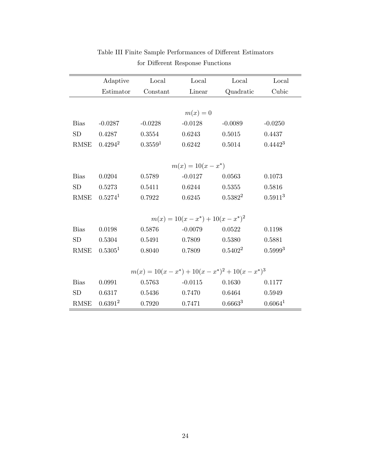|                                                      | Adaptive                             | Local     | Local     | Local        | Local               |
|------------------------------------------------------|--------------------------------------|-----------|-----------|--------------|---------------------|
|                                                      | Estimator                            | Constant  | Linear    | Quadratic    | Cubic               |
|                                                      |                                      |           |           |              |                     |
|                                                      |                                      |           | $m(x)=0$  |              |                     |
| <b>Bias</b>                                          | $-0.0287$                            | $-0.0228$ | $-0.0128$ | $-0.0089$    | $-0.0250$           |
| SD                                                   | 0.4287                               | 0.3554    | 0.6243    | 0.5015       | 0.4437              |
| RMSE                                                 | $0.4294^2$                           | 0.35591   | 0.6242    | 0.5014       | $0.4442^3$          |
|                                                      |                                      |           |           |              |                     |
|                                                      | $m(x) = 10(x - x^*)$                 |           |           |              |                     |
| <b>Bias</b>                                          | 0.0204                               | 0.5789    | $-0.0127$ | 0.0563       | 0.1073              |
| SD                                                   | 0.5273                               | 0.5411    | 0.6244    | 0.5355       | 0.5816              |
| RMSE                                                 | $0.5274^1$                           | 0.7922    | 0.6245    | $0.5382^2$   | $0.5911^{3}$        |
|                                                      |                                      |           |           |              |                     |
|                                                      | $m(x) = 10(x - x^*) + 10(x - x^*)^2$ |           |           |              |                     |
| <b>Bias</b>                                          | 0.0198                               | 0.5876    | $-0.0079$ | 0.0522       | 0.1198              |
| <b>SD</b>                                            | 0.5304                               | 0.5491    | 0.7809    | 0.5380       | 0.5881              |
| RMSE                                                 | $0.5305^1$                           | 0.8040    | 0.7809    | $0.5402^2$   | $0.5999^{3}$        |
|                                                      |                                      |           |           |              |                     |
| $m(x) = 10(x - x^*) + 10(x - x^*)^2 + 10(x - x^*)^3$ |                                      |           |           |              |                     |
| <b>Bias</b>                                          | 0.0991                               | 0.5763    | $-0.0115$ | 0.1630       | 0.1177              |
| <b>SD</b>                                            | 0.6317                               | 0.5436    | 0.7470    | 0.6464       | 0.5949              |
| <b>RMSE</b>                                          | $0.6391^{2}$                         | 0.7920    | 0.7471    | $0.6663^{3}$ | 0.6064 <sup>1</sup> |

# ${\bf Table\ III}$  Finite Sample Performances of Different Estimators for Different Response Functions  $% \left( \beta ,\gamma \right)$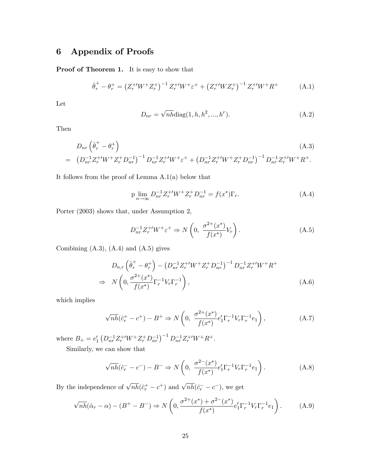## 6 Appendix of Proofs

Proof of Theorem 1. It is easy to show that

$$
\hat{\theta}_r^+ - \theta_r^+ = \left(Z_r^{+'} W^+ Z_r^+\right)^{-1} Z_r^{+'} W^+ \varepsilon^+ + \left(Z_r^{+'} W Z_r^+\right)^{-1} Z_r^{+'} W^+ R^+ \tag{A.1}
$$

Let

$$
D_{nr} = \sqrt{n h} \text{diag}(1, h, h^2, ..., h^r). \tag{A.2}
$$

Then

$$
D_{nr} \left(\hat{\theta}_r^+ - \theta_r^+\right) \tag{A.3}
$$
\n
$$
= \left(D_{nr}^{-1} Z_r^{+'} W^+ Z_r^+ D_{nr}^{-1}\right)^{-1} D_{nr}^{-1} Z_r^{+'} W^+ \varepsilon^+ + \left(D_{nr}^{-1} Z_r^{+'} W^+ Z_r^+ D_{nr}^{-1}\right)^{-1} D_{nr}^{-1} Z_r^{+'} W^+ R^+.
$$

It follows from the proof of Lemma A.1(a) below that

$$
\text{p}\lim_{n \to \infty} D_{nr}^{-1} Z_r^{+'} W^+ Z_r^+ D_{nr}^{-1} = f(x^*) \Gamma_r. \tag{A.4}
$$

Porter (2003) shows that, under Assumption 2,

$$
D_{nr}^{-1}Z_r^{+\prime}W^+\varepsilon^+ \Rightarrow N\left(0, \ \frac{\sigma^{2+}(x^*)}{f(x^*)}V_r\right). \tag{A.5}
$$

Combining  $(A.3)$ ,  $(A.4)$  and  $(A.5)$  gives

$$
D_{n,r} \left( \hat{\theta}_r^+ - \theta_r^+ \right) - \left( D_{nr}^{-1} Z_r^{+'} W^+ Z_r^+ D_{nr}^{-1} \right)^{-1} D_{nr}^{-1} Z_r^{+'} W^+ R^+ \newline\n\Rightarrow N \left( 0, \frac{\sigma^{2+}(x^*)}{f(x^*)} \Gamma_r^{-1} V_r \Gamma_r^{-1} \right),
$$
\n(A.6)

which implies

$$
\sqrt{nh}(\hat{c}_r^+ - c^+) - B^+ \Rightarrow N\left(0, \ \frac{\sigma^{2+}(x^*)}{f(x^*)}e'_1\Gamma_r^{-1}V_r\Gamma_r^{-1}e_1\right),\tag{A.7}
$$

where  $B_+ = e'_1 \left( D_{nr}^{-1} Z_r^{+'} W^+ Z_r^+ D_{nr}^{-1} \right)^{-1} D_{nr}^{-1} Z_r^{+'} W^+ R^+.$ 

Similarly, we can show that

$$
\sqrt{nh}(\hat{c}_r^- - c^-) - B^- \Rightarrow N\left(0, \ \frac{\sigma^{2-}(x^*)}{f(x^*)}e'_1\Gamma_r^{-1}V_r\Gamma_r^{-1}e_1\right). \tag{A.8}
$$

By the independence of  $\sqrt{n\hbar}(\hat{c}_r^+ - c^+)$  and  $\sqrt{n\hbar}(\hat{c}_r^- - c^-)$ , we get

$$
\sqrt{nh}(\hat{\alpha}_r - \alpha) - (B^+ - B^-) \Rightarrow N\left(0, \frac{\sigma^{2+}(x^*) + \sigma^{2-}(x^*)}{f(x^*)} e'_1 \Gamma_r^{-1} V_r \Gamma_r^{-1} e_1\right). \tag{A.9}
$$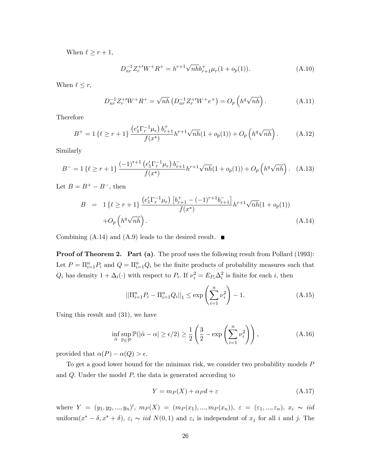When  $\ell \geq r + 1$ ,

$$
D_{nr}^{-1}Z_{r}^{+'}W^{+}R^{+} = h^{r+1}\sqrt{nh}b_{r+1}^{+}\mu_{r}(1+o_{p}(1)).
$$
\n(A.10)

When  $\ell \leq r$ ,

$$
D_{nr}^{-1}Z_{r}^{+W^{+}R^{+}} = \sqrt{nh} \left( D_{nr}^{-1}Z_{r}^{+W^{+}e^{+}} \right) = O_{p} \left( h^{q} \sqrt{nh} \right). \tag{A.11}
$$

Therefore

$$
B^{+} = 1 \left\{ \ell \ge r + 1 \right\} \frac{\left( e_1' \Gamma_r^{-1} \mu_r \right) b_{r+1}^{+}}{f(x^*)} h^{r+1} \sqrt{n h} (1 + o_p(1)) + O_p \left( h^q \sqrt{n h} \right). \tag{A.12}
$$

Similarly

$$
B^{-} = 1 \left\{ \ell \ge r+1 \right\} \frac{(-1)^{r+1} \left( e_1^{\ell} \Gamma_r^{-1} \mu_r \right) b_{r+1}^-}{f(x^*)} h^{r+1} \sqrt{n h} (1 + o_p(1)) + O_p \left( h^q \sqrt{n h} \right). \tag{A.13}
$$

Let  $B = B^+ - B^-$ , then

$$
B = 1 \left\{ \ell \ge r + 1 \right\} \frac{\left( e_1' \Gamma_r^{-1} \mu_r \right) \left[ b_{r+1}^+ - (-1)^{r+1} b_{r+1}^- \right]}{f(x^*)} h^{r+1} \sqrt{n h} (1 + o_p(1))
$$
  
+  $O_p \left( h^q \sqrt{n h} \right).$  (A.14)

Combining  $(A.14)$  and  $(A.9)$  leads to the desired result.

**Proof of Theorem 2. Part (a)**. The proof uses the following result from Pollard (1993): Let  $P = \prod_{i=1}^n P_i$  and  $Q = \prod_{i=1}^n Q_i$  be the finite products of probability measures such that  $Q_i$  has density  $1 + \Delta_i(\cdot)$  with respect to  $P_i$ . If  $\nu_i^2 = E_{P_i} \Delta_i^2$  is finite for each i, then

$$
||\Pi_{i=1}^{n} P_i - \Pi_{i=1}^{n} Q_i||_1 \le \exp\left(\sum_{i=1}^{n} \nu_i^2\right) - 1.
$$
 (A.15)

Using this result and (31), we have

$$
\inf_{\hat{\alpha}} \sup_{\mathbb{P}\in\mathcal{P}} \mathbb{P}(|\hat{\alpha} - \alpha| \ge \epsilon/2) \ge \frac{1}{2} \left(\frac{3}{2} - \exp\left(\sum_{i=1}^n \nu_i^2\right)\right),\tag{A.16}
$$

provided that  $\alpha(P) - \alpha(Q) > \epsilon$ .

To get a good lower bound for the minimax risk, we consider two probability models P and  $Q$ . Under the model  $P$ , the data is generated according to

$$
Y = m_P(X) + \alpha_P d + \varepsilon \tag{A.17}
$$

where  $Y = (y_1, y_2, ..., y_n)'$ ,  $m_P(X) = (m_P(x_1), ..., m_P(x_n))$ ,  $\varepsilon = (\varepsilon_1, ..., \varepsilon_n)$ ,  $x_i \sim \textit{iid}$ uniform $(x^* - \delta, x^* + \delta)$ ,  $\varepsilon_i \sim \text{iid } N(0, 1)$  and  $\varepsilon_i$  is independent of  $x_j$  for all i and j. The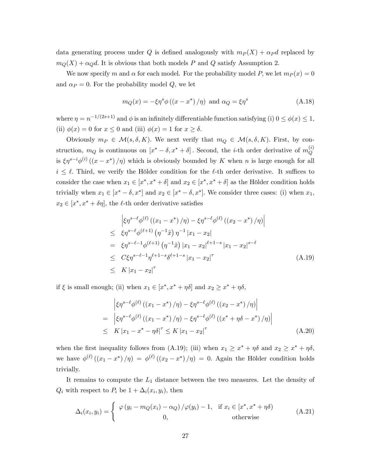data generating process under Q is defined analogously with  $m_P (X) + \alpha_P d$  replaced by  $m_Q(X) + \alpha_Q d$ . It is obvious that both models P and Q satisfy Assumption 2.

We now specify m and  $\alpha$  for each model. For the probability model P, we let  $m_P (x) = 0$ and  $\alpha_P = 0$ . For the probability model Q, we let

$$
m_Q(x) = -\xi \eta^s \phi \left( (x - x^*) / \eta \right) \text{ and } \alpha_Q = \xi \eta^s \tag{A.18}
$$

where  $\eta = n^{-1/(2s+1)}$  and  $\phi$  is an infinitely differentiable function satisfying (i)  $0 \le \phi(x) \le 1$ , (ii)  $\phi(x) = 0$  for  $x \leq 0$  and (iii)  $\phi(x) = 1$  for  $x \geq \delta$ .

Obviously  $m_P \in \mathcal{M}(s, \delta, K)$ . We next verify that  $m_Q \in \mathcal{M}(s, \delta, K)$ . First, by construction,  $m_Q$  is continuous on  $[x^* - \delta, x^* + \delta]$ . Second, the *i*-th order derivative of  $m_Q^{(i)}$ Q is  $\xi \eta^{s-i} \phi^{(i)}((x-x^*)/\eta)$  which is obviously bounded by K when n is large enough for all  $i \leq \ell$ . Third, we verify the Hölder condition for the  $\ell$ -th order derivative. It suffices to consider the case when  $x_1 \in [x^*, x^* + \delta]$  and  $x_2 \in [x^*, x^* + \delta]$  as the Hölder condition holds trivially when  $x_1 \in [x^* - \delta, x^*]$  and  $x_2 \in [x^* - \delta, x^*]$ . We consider three cases: (i) when  $x_1$ ,  $x_2 \in [x^*, x^* + \delta \eta]$ , the  $\ell$ -th order derivative satisfies

$$
\begin{aligned}\n&\left|\xi\eta^{s-\ell}\phi^{(\ell)}\left(\left(x_1 - x^*\right)/\eta\right) - \xi\eta^{s-\ell}\phi^{(\ell)}\left(\left(x_2 - x^*\right)/\eta\right)\right| \\
&\leq \xi\eta^{s-\ell}\phi^{(\ell+1)}\left(\eta^{-1}\tilde{x}\right)\eta^{-1}\left|x_1 - x_2\right| \\
&= \xi\eta^{s-\ell-1}\phi^{(\ell+1)}\left(\eta^{-1}\tilde{x}\right)\left|x_1 - x_2\right|^{\ell+1-s}\left|x_1 - x_2\right|^{s-\ell} \\
&\leq C\xi\eta^{s-\ell-1}\eta^{\ell+1-s}\delta^{\ell+1-s}\left|x_1 - x_2\right|^{\tau} \\
&\leq K\left|x_1 - x_2\right|^{\tau}\n\end{aligned} \tag{A.19}
$$

if  $\xi$  is small enough; (ii) when  $x_1 \in [x^*, x^* + \eta \delta]$  and  $x_2 \ge x^* + \eta \delta$ ,

$$
\begin{aligned}\n&\left|\xi\eta^{s-\ell}\phi^{(\ell)}\left(\left(x_{1}-x^{*}\right)/\eta\right)-\xi\eta^{s-\ell}\phi^{(\ell)}\left(\left(x_{2}-x^{*}\right)/\eta\right)\right| \\
&=\left|\xi\eta^{s-\ell}\phi^{(\ell)}\left(\left(x_{1}-x^{*}\right)/\eta\right)-\xi\eta^{s-\ell}\phi^{(\ell)}\left(\left(x^{*}+\eta\delta-x^{*}\right)/\eta\right)\right| \\
&\leq K\left|x_{1}-x^{*}-\eta\delta\right|^{T}\leq K\left|x_{1}-x_{2}\right|^{T}\n\end{aligned} \tag{A.20}
$$

when the first inequality follows from (A.19); (iii) when  $x_1 \geq x^* + \eta \delta$  and  $x_2 \geq x^* + \eta \delta$ , we have  $\phi^{(\ell)}((x_1 - x^*)/\eta) = \phi^{(\ell)}((x_2 - x^*)/\eta) = 0$ . Again the Hölder condition holds trivially.

It remains to compute the  $L_1$  distance between the two measures. Let the density of  $Q_i$  with respect to  $P_i$  be  $1 + \Delta_i(x_i, y_i)$ , then

$$
\Delta_i(x_i, y_i) = \begin{cases}\n\varphi(y_i - m_Q(x_i) - \alpha_Q)/\varphi(y_i) - 1, & \text{if } x_i \in [x^*, x^* + \eta \delta) \\
0, & \text{otherwise}\n\end{cases}
$$
\n(A.21)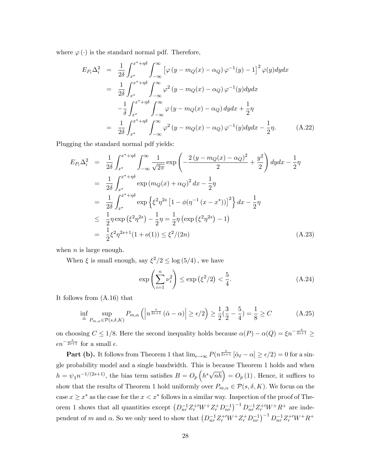where  $\varphi(\cdot)$  is the standard normal pdf. Therefore,

$$
E_{P_i} \Delta_i^2 = \frac{1}{2\delta} \int_{x^*}^{x^* + \eta \delta} \int_{-\infty}^{\infty} \left[ \varphi \left( y - m_Q(x) - \alpha_Q \right) \varphi^{-1}(y) - 1 \right]^2 \varphi(y) dy dx
$$
  
\n
$$
= \frac{1}{2\delta} \int_{x^*}^{x^* + \eta \delta} \int_{-\infty}^{\infty} \varphi^2 \left( y - m_Q(x) - \alpha_Q \right) \varphi^{-1}(y) dy dx
$$
  
\n
$$
- \frac{1}{\delta} \int_{x^*}^{x^* + \eta \delta} \int_{-\infty}^{\infty} \varphi \left( y - m_Q(x) - \alpha_Q \right) dy dx + \frac{1}{2} \eta
$$
  
\n
$$
= \frac{1}{2\delta} \int_{x^*}^{x^* + \eta \delta} \int_{-\infty}^{\infty} \varphi^2 \left( y - m_Q(x) - \alpha_Q \right) \varphi^{-1}(y) dy dx - \frac{1}{2} \eta.
$$
 (A.22)

Plugging the standard normal pdf yields:

$$
E_{P_i} \Delta_i^2 = \frac{1}{2\delta} \int_{x^*}^{x^* + \eta \delta} \int_{-\infty}^{\infty} \frac{1}{\sqrt{2\pi}} \exp\left(-\frac{2\left(y - m_Q(x) - \alpha_Q\right)^2}{2} + \frac{y^2}{2}\right) dy dx - \frac{1}{2}\eta
$$
  
\n
$$
= \frac{1}{2\delta} \int_{x^*}^{x^* + \eta \delta} \exp\left(m_Q(x) + \alpha_Q\right)^2 dx - \frac{1}{2}\eta
$$
  
\n
$$
= \frac{1}{2\delta} \int_{x^*}^{x^* + \eta \delta} \exp\left\{\xi^2 \eta^{2s} \left[1 - \phi(\eta^{-1}(x - x^*))\right]^2\right\} dx - \frac{1}{2}\eta
$$
  
\n
$$
\leq \frac{1}{2}\eta \exp\left(\xi^2 \eta^{2s}\right) - \frac{1}{2}\eta = \frac{1}{2}\eta \left(\exp\left(\xi^2 \eta^{2s}\right) - 1\right)
$$
  
\n
$$
= \frac{1}{2}\xi^2 \eta^{2s+1} (1 + o(1)) \leq \xi^2/(2n) \tag{A.23}
$$

when  $n$  is large enough.

When  $\xi$  is small enough, say  $\xi^2/2 \leq \log(5/4)$ , we have

$$
\exp\left(\sum_{i=1}^{n} \nu_i^2\right) \le \exp\left(\xi^2/2\right) < \frac{5}{4}.\tag{A.24}
$$

It follows from (A.16) that

$$
\inf_{\hat{\alpha}} \sup_{P_{m,\alpha} \in \mathcal{P}(s,\delta,K)} P_{m,\alpha} \left( \left| n^{\frac{s}{2s+1}} \left( \hat{\alpha} - \alpha \right) \right| \ge \epsilon/2 \right) \ge \frac{1}{2} \left( \frac{3}{2} - \frac{5}{4} \right) = \frac{1}{8} \ge C \tag{A.25}
$$

on choosing  $C \le 1/8$ . Here the second inequality holds because  $\alpha(P) - \alpha(Q) = \xi n^{-\frac{s}{2s+1}} \ge$  $\epsilon n^{-\frac{s}{2s+1}}$  for a small  $\epsilon$ .

**Part (b).** It follows from Theorem 1 that  $\lim_{\epsilon \to \infty} P(n^{\frac{s}{2s+1}} [\hat{\alpha}_{\ell} - \alpha] \ge \epsilon/2) = 0$  for a single probability model and a single bandwidth. This is because Theorem 1 holds and when  $h = \psi_1 n^{-1/(2s+1)}$ , the bias term satisfies  $B = O_p\left(h^s \sqrt{n h}\right) = O_p(1)$ . Hence, it suffices to show that the results of Theorem 1 hold uniformly over  $P_{m,\alpha} \in \mathcal{P}(s,\delta,K)$ . We focus on the case  $x \geq x^*$  as the case for the  $x < x^*$  follows in a similar way. Inspection of the proof of Theorem 1 shows that all quantities except  $(D_{nr}^{-1}Z_r^{+'}W^+Z_r^+D_{nr}^{-1})^{-1}D_{nr}^{-1}Z_r^{+'}W^+R^+$  are independent of m and  $\alpha$ . So we only need to show that  $(D_{nr}^{-1}Z_r^{+\prime}W^+Z_r^+D_{nr}^{-1})^{-1}D_{nr}^{-1}Z_r^{+\prime}W^+R^+$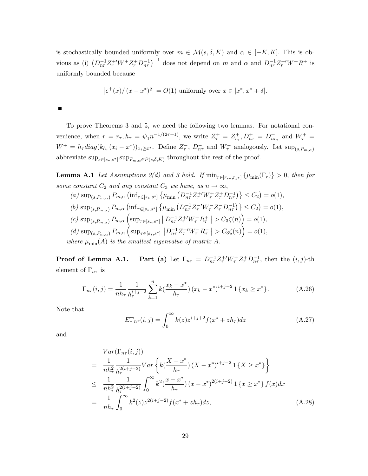is stochastically bounded uniformly over  $m \in \mathcal{M}(s, \delta, K)$  and  $\alpha \in [-K, K]$ . This is obvious as (i)  $(D_{nr}^{-1}Z_r^{+W+}Z_r^{+}D_{nr}^{-1})^{-1}$  does not depend on m and  $\alpha$  and  $D_{nr}^{-1}Z_r^{+W+}R^+$  is uniformly bounded because

$$
|e^+(x)/(x-x^*)^q| = O(1)
$$
 uniformly over  $x \in [x^*, x^* + \delta]$ .

To prove Theorems 3 and 5, we need the following two lemmas. For notational convenience, when  $r = r_{\tau}$ ,  $h_{\tau} = \psi_1 n^{-1/(2\tau+1)}$ , we write  $Z_{\tau}^+ = Z_{r_{\tau}}^+$ ,  $D_{n\tau}^+ = D_{nr_{\tau}}^+$  and  $W_{\tau}^+ =$  $W^+ = h_\tau diag(k_{h_\tau}(x_i - x^*))_{x_i \geq x^*}$ . Define  $Z^-_\tau$ ,  $D^-_{n\tau}$  and  $W^-_\tau$  analogously. Let  $\sup_{(s, P_{m,\alpha})}$ abbreviate  $\sup_{s\in[s_*,s^*]} \sup_{P_{m,\alpha}\in\mathcal{P}(s,\delta,K)}$  throughout the rest of the proof.

**Lemma A.1** Let Assumptions  $2(d)$  and 3 hold. If  $\min_{r \in [r_{s*}, r_{s*}]} \{\mu_{\min}(\Gamma_r)\} > 0$ , then for some constant  $C_2$  and any constant  $C_3$  we have, as  $n \to \infty$ ,

(a) sup<sub>(s,P<sub>m,\alpha</sub>)</sub> P<sub>m,\alpha</sub> (inf<sub>τ∈[s<sub>\*</sub>,s<sup>\*</sup>]</sub> {
$$
\mu_{min}
$$
 (D<sub>nτ</sub><sup>-1</sup>Z<sub>τ</sub><sup>+ $'Wτ+Zτ-Dnτ-1) } \leq C2 = o(1),\n(b) sup(s,Pm,\alpha) Pm,\alpha (infτ∈[s*,s*] { $\mu_{min}$  (D<sub>nτ</sub><sup>-1</sup>Z<sub>τ</sub><sup>- $'WτZτ-Dnτ-1) } \leq C2 = o(1),\n(c) sup(s,Pm,\alpha) Pm,\alpha (supτ∈[s*,s*] ||Dnτ-1Zτ+ $'Wτ+ Rτ+|| > C3\zeta(n)) = o(1),\n(d) sup(s,Pm,\alpha) Pm,\alpha (supτ∈[s*,s*] ||Dnτ-1Zτ- $'Wτ$  R<sub>τ</sub><sup>-</sup> || > C<sub>3</sub>\zeta(n)) = o(1),  
\nwhere  $\mu_{min}(A)$  is the smallest eigenvalue of matrix A.$$</sup>$</sup> 

**Proof of Lemma A.1.** Part (a) Let  $\Gamma_{n\tau} = D_{n\tau}^{-1} Z_{\tau}^{+} W_{\tau}^{+} Z_{\tau}^{+} D_{n\tau}^{-1}$ , then the  $(i, j)$ -th element of  $\Gamma_{n\tau}$  is

$$
\Gamma_{n\tau}(i,j) = \frac{1}{nh_{\tau}} \frac{1}{h_{\tau}^{i+j-2}} \sum_{k=1}^{n} k(\frac{x_k - x^*}{h_{\tau}}) (x_k - x^*)^{i+j-2} \mathbf{1} \{x_k \ge x^*\}.
$$
 (A.26)

Note that

$$
E\Gamma_{n\tau}(i,j) = \int_0^\infty k(z)z^{i+j+2}f(x^*+zh_\tau)dz
$$
\n(A.27)

and

$$
Var(\Gamma_{n\tau}(i,j))
$$
\n
$$
= \frac{1}{nh_{\tau}^{2}} \frac{1}{h_{\tau}^{2(i+j-2)}} Var\left\{ k(\frac{X-x^{*}}{h_{\tau}}) (X-x^{*})^{i+j-2} 1 \{X \geq x^{*}\}\right\}
$$
\n
$$
\leq \frac{1}{nh_{\tau}^{2}} \frac{1}{h_{\tau}^{2(i+j-2)}} \int_{0}^{\infty} k^{2}(\frac{x-x^{*}}{h_{\tau}}) (x-x^{*})^{2(i+j-2)} 1 \{x \geq x^{*}\} f(x) dx
$$
\n
$$
= \frac{1}{nh_{\tau}} \int_{0}^{\infty} k^{2}(z) z^{2(i+j-2)} f(x^{*} + zh_{\tau}) dz,
$$
\n(A.28)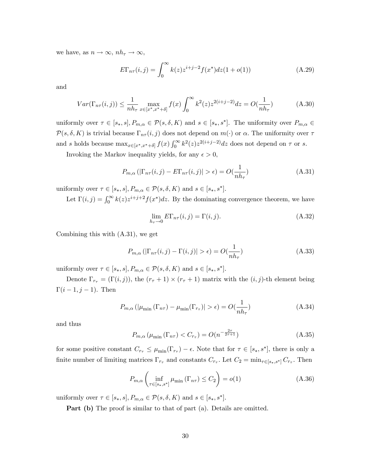we have, as  $n \to \infty$ ,  $nh_\tau \to \infty$ ,

$$
E\Gamma_{n\tau}(i,j) = \int_0^\infty k(z)z^{i+j-2}f(x^*)dz(1+o(1))
$$
\n(A.29)

and

$$
Var(\Gamma_{n\tau}(i,j)) \le \frac{1}{nh_{\tau}} \max_{x \in [x^*, x^* + \delta]} f(x) \int_0^{\infty} k^2(z) z^{2(i+j-2)} dz = O(\frac{1}{nh_{\tau}})
$$
(A.30)

uniformly over  $\tau \in [s_*, s], P_{m,\alpha} \in \mathcal{P}(s, \delta, K)$  and  $s \in [s_*, s^*]$ . The uniformity over  $P_{m,\alpha} \in$  $\mathcal{P}(s, \delta, K)$  is trivial because  $\Gamma_{n\tau}(i, j)$  does not depend on  $m(\cdot)$  or  $\alpha$ . The uniformity over  $\tau$ and s holds because  $\max_{x \in [x^*,x^*+\delta]} f(x) \int_0^\infty k^2(z) z^{2(i+j-2)} dz$  does not depend on  $\tau$  or s.

Invoking the Markov inequality yields, for any  $\epsilon > 0$ ,

$$
P_{m,\alpha}\left(|\Gamma_{n\tau}(i,j) - E\Gamma_{n\tau}(i,j)| > \epsilon\right) = O(\frac{1}{nh_{\tau}})
$$
\n(A.31)

uniformly over  $\tau \in [s_*, s], P_{m,\alpha} \in \mathcal{P}(s, \delta, K)$  and  $s \in [s_*, s^*]$ .

Let  $\Gamma(i, j) = \int_0^\infty k(z)z^{i+j+2}f(x^*)dz$ . By the dominating convergence theorem, we have

$$
\lim_{h_{\tau}\to 0} E\Gamma_{n\tau}(i,j) = \Gamma(i,j). \tag{A.32}
$$

Combining this with (A.31), we get

$$
P_{m,\alpha}\left(|\Gamma_{n\tau}(i,j)-\Gamma(i,j)|>\epsilon\right)=O(\frac{1}{nh_{\tau}})
$$
\n(A.33)

uniformly over  $\tau \in [s_*, s], P_{m,\alpha} \in \mathcal{P}(s, \delta, K)$  and  $s \in [s_*, s^*]$ .

Denote  $\Gamma_{r_{\tau}} = (\Gamma(i,j))$ , the  $(r_{\tau} + 1) \times (r_{\tau} + 1)$  matrix with the  $(i, j)$ -th element being  $\Gamma(i - 1, j - 1)$ . Then

$$
P_{m,\alpha} \left( |\mu_{\min} (\Gamma_{n\tau}) - \mu_{\min} (\Gamma_{r\tau})| > \epsilon \right) = O(\frac{1}{nh_{\tau}})
$$
\n(A.34)

and thus

$$
P_{m,\alpha}\left(\mu_{\min}\left(\Gamma_{n\tau}\right) < C_{r_{\tau}}\right) = O\left(n^{-\frac{2\tau}{2\tau+1}}\right) \tag{A.35}
$$

for some positive constant  $C_{r_{\tau}} \leq \mu_{\min}(\Gamma_{r_{\tau}}) - \epsilon$ . Note that for  $\tau \in [s_*, s^*]$ , there is only a finite number of limiting matrices  $\Gamma_{r_{\tau}}$  and constants  $C_{r_{\tau}}$ . Let  $C_2 = \min_{\tau \in [s_*,s^*]} C_{r_{\tau}}$ . Then

$$
P_{m,\alpha} \left( \inf_{\tau \in [s_*,s^*]} \mu_{\min} \left( \Gamma_{n\tau} \right) \le C_2 \right) = o(1) \tag{A.36}
$$

uniformly over  $\tau \in [s_*, s], P_{m,\alpha} \in \mathcal{P}(s, \delta, K)$  and  $s \in [s_*, s^*]$ .

Part (b) The proof is similar to that of part (a). Details are omitted.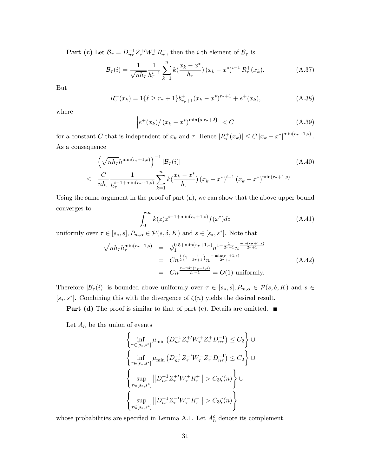**Part (c)** Let  $\mathcal{B}_{\tau} = D_{n\tau}^{-1} Z_{\tau}^{+} W_{\tau}^{+} R_{\tau}^{+}$ , then the *i*-th element of  $\mathcal{B}_{\tau}$  is

$$
\mathcal{B}_{\tau}(i) = \frac{1}{\sqrt{nh_{\tau}}} \frac{1}{h_{\tau}^{i-1}} \sum_{k=1}^{n} k(\frac{x_k - x^*}{h_{\tau}}) (x_k - x^*)^{i-1} R_{\tau}^+(x_k).
$$
 (A.37)

But

$$
R_{\tau}^{+}(x_k) = 1\{\ell \ge r_{\tau} + 1\}b_{r_{\tau}+1}^{+}(x_k - x^*)^{r_{\tau}+1} + e^+(x_k),
$$
\n(A.38)

where

$$
\left| e^+(x_k) / (x_k - x^*)^{\min\{s, r_\tau + 2\}} \right| < C \tag{A.39}
$$

for a constant C that is independent of  $x_k$  and  $\tau$ . Hence  $|R^+_{\tau}(x_k)| \leq C |x_k - x^*|^{\min(r_{\tau}+1,s)}$ . As a consequence

$$
\left(\sqrt{nh_{\tau}}h^{\min(r_{\tau}+1,s)}\right)^{-1}|\mathcal{B}_{\tau}(i)|\tag{A.40}
$$
\n
$$
\leq \frac{C}{nh_{\tau}}\frac{1}{h_{\tau}^{i-1+\min(r_{\tau}+1,s)}}\sum_{k=1}^{n}k\left(\frac{x_{k}-x^{*}}{h_{\tau}}\right)(x_{k}-x^{*})^{i-1}(x_{k}-x^{*})^{\min(r_{\tau}+1,s)}
$$

Using the same argument in the proof of part (a), we can show that the above upper bound converges to

$$
\int_0^\infty k(z)z^{i-1+\min(r_\tau+1,s)}f(x^*)dz\tag{A.41}
$$

uniformly over  $\tau \in [s_*, s], P_{m,\alpha} \in \mathcal{P}(s, \delta, K)$  and  $s \in [s_*, s^*]$ . Note that

$$
\sqrt{nh_{\tau}}h_{\tau}^{\min(r_{\tau}+1,s)} = \psi_1^{0.5+\min(r_{\tau}+1,s)}n^{1-\frac{1}{2\tau+1}}n^{\frac{\min(r_{\tau}+1,s)}{2\tau+1}} \\
= Cn^{\frac{1}{2}(1-\frac{1}{2\tau+1})}n^{\frac{-\min(r_{\tau}+1,s)}{2\tau+1}} \\
= Cn^{\frac{\tau-\min(r_{\tau}+1,s)}{2\tau+1}} = O(1) \text{ uniformly.}
$$
\n(A.42)

Therefore  $|\mathcal{B}_{\tau}(i)|$  is bounded above uniformly over  $\tau \in [s_*, s], P_{m,\alpha} \in \mathcal{P}(s, \delta, K)$  and  $s \in$  $[s_*, s^*]$ . Combining this with the divergence of  $\zeta(n)$  yields the desired result.

**Part (d)** The proof is similar to that of part (c). Details are omitted.  $\blacksquare$ 

Let  $A_n$  be the union of events

$$
\left\{\inf_{\tau \in [s_*,s^*]}\mu_{\min} (D_{n\tau}^{-1} Z_{\tau}^{+'} W_{\tau}^{+} Z_{\tau}^{+} D_{n\tau}^{-1}) \leq C_2\right\} \cup \n\left\{\inf_{\tau \in [s_*,s^*]}\mu_{\min} (D_{n\tau}^{-1} Z_{\tau}^{-'} W_{\tau}^{-} Z_{\tau}^{-} D_{n\tau}^{-1}) \leq C_2\right\} \cup \n\left\{\sup_{\tau \in [s_*,s^*]} \|D_{n\tau}^{-1} Z_{\tau}^{+'} W_{\tau}^{+} R_{\tau}^{+}\| > C_3 \zeta(n)\right\} \cup \n\left\{\sup_{\tau \in [s_*,s^*]} \|D_{n\tau}^{-1} Z_{\tau}^{-'} W_{\tau}^{-} R_{\tau}^{-}\| > C_3 \zeta(n)\right\}
$$

whose probabilities are specified in Lemma A.1. Let  $A_n^c$  denote its complement.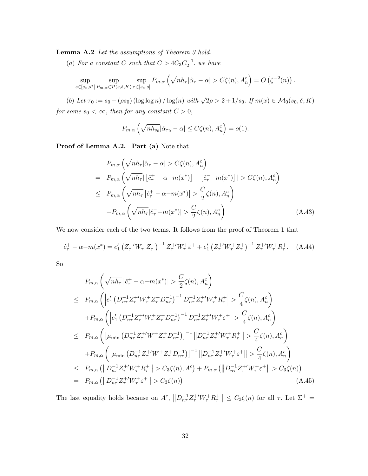Lemma A.2 Let the assumptions of Theorem 3 hold.

(a) For a constant C such that  $C > 4C_3C_2^{-1}$ , we have

$$
\sup_{s \in [s_*,s^*]} \sup_{P_{m,\alpha} \in \mathcal{P}(s,\delta,K)} \sup_{\tau \in [s_*,s]} P_{m,\alpha} \left( \sqrt{n h_\tau} |\hat{\alpha}_\tau - \alpha| > C\zeta(n), A_n^c \right) = O \left( \zeta^{-2}(n) \right).
$$

(b) Let  $\tau_0 := s_0 + (\rho s_0) (\log \log n) / \log(n)$  with  $\sqrt{2\rho} > 2 + 1/s_0$ . If  $m(x) \in \mathcal{M}_0(s_0, \delta, K)$ for some  $s_0 < \infty$ , then for any constant  $C > 0$ ,

$$
P_{m,\alpha}\left(\sqrt{nh_{s_0}}|\hat{\alpha}_{\tau_0}-\alpha| \leq C\zeta(n), A_n^c\right) = o(1).
$$

Proof of Lemma A.2. Part (a) Note that

$$
P_{m,\alpha} \left( \sqrt{nh_{\tau}} |\hat{\alpha}_{\tau} - \alpha| > C\zeta(n), A_n^c \right)
$$
\n
$$
= P_{m,\alpha} \left( \sqrt{nh_{\tau}} |\left[ \hat{c}_{\tau}^+ - \alpha - m(x^*) \right] - \left[ \hat{c}_{\tau}^- - m(x^*) \right] | > C\zeta(n), A_n^c \right)
$$
\n
$$
\leq P_{m,\alpha} \left( \sqrt{nh_{\tau}} |\hat{c}_{\tau}^+ - \alpha - m(x^*)| > \frac{C}{2} \zeta(n), A_n^c \right)
$$
\n
$$
+ P_{m,\alpha} \left( \sqrt{nh_{\tau}} |\hat{c}_{\tau}^- - m(x^*)| > \frac{C}{2} \zeta(n), A_n^c \right) \tag{A.43}
$$

We now consider each of the two terms. It follows from the proof of Theorem 1 that

$$
\hat{c}_{\tau}^{+} - \alpha - m(x^{*}) = e_{1}' \left( Z_{\tau}^{+ \prime} W_{\tau}^{+} Z_{\tau}^{+} \right)^{-1} Z_{\tau}^{+ \prime} W_{\tau}^{+} \varepsilon^{+} + e_{1}' \left( Z_{\tau}^{+ \prime} W_{\tau}^{+} Z_{\tau}^{+} \right)^{-1} Z_{\tau}^{+ \prime} W_{\tau}^{+} R_{\tau}^{+}.
$$
 (A.44)

So

$$
P_{m,\alpha} \left( \sqrt{nh_{\tau}} \left| \hat{c}_{\tau}^{+} - \alpha - m(x^{*}) \right| > \frac{C}{2} \zeta(n), A_{n}^{c} \right)
$$
  
\n
$$
\leq P_{m,\alpha} \left( \left| e_{1}^{\prime} \left( D_{n\tau}^{-1} Z_{\tau}^{+ \prime} W_{\tau}^{+} Z_{\tau}^{+} D_{n\tau}^{-1} \right)^{-1} D_{n\tau}^{-1} Z_{\tau}^{+ \prime} W_{\tau}^{+} R_{\tau}^{+} \right| > \frac{C}{4} \zeta(n), A_{n}^{c} \right)
$$
  
\n
$$
+ P_{m,\alpha} \left( \left| e_{1}^{\prime} \left( D_{n\tau}^{-1} Z_{\tau}^{+ \prime} W_{\tau}^{+} Z_{\tau}^{+} D_{n\tau}^{-1} \right)^{-1} D_{n\tau}^{-1} Z_{\tau}^{+ \prime} W_{\tau}^{+} \epsilon^{+} \right| > \frac{C}{4} \zeta(n), A_{n}^{c} \right)
$$
  
\n
$$
\leq P_{m,\alpha} \left( \left[ \mu_{\min} \left( D_{n\tau}^{-1} Z_{\tau}^{+ \prime} W^{+} Z_{\tau}^{+} D_{n\tau}^{-1} \right) \right]^{-1} \left\| D_{n\tau}^{-1} Z_{\tau}^{+ \prime} W_{\tau}^{+} R_{\tau}^{+} \right\| > \frac{C}{4} \zeta(n), A_{n}^{c} \right)
$$
  
\n
$$
+ P_{m,\alpha} \left( \left[ \mu_{\min} \left( D_{n\tau}^{-1} Z_{\tau}^{+ \prime} W^{+} Z_{\tau}^{+} D_{n\tau}^{-1} \right) \right]^{-1} \left\| D_{n\tau}^{-1} Z_{\tau}^{+ \prime} W_{\tau}^{+} \epsilon^{+} \right\| > \frac{C}{4} \zeta(n), A_{n}^{c} \right)
$$
  
\n
$$
\leq P_{m,\alpha} \left( \left\| D_{n\tau}^{-1} Z_{\tau}^{+ \prime} W_{\tau}^{+} R_{\tau}^{+} \right\| > C_{3} \zeta(n), A^{c} \right) + P_{m,\alpha} \left( \left\| D_{n\tau}^{-1} Z_{\tau
$$

The last equality holds because on  $A^c$ ,  $||D_{n\tau}^{-1}Z_{\tau}^{+}W_{\tau}^{+}R_{\tau}^{+}|| \leq C_3\zeta(n)$  for all  $\tau$ . Let  $\Sigma^+$  =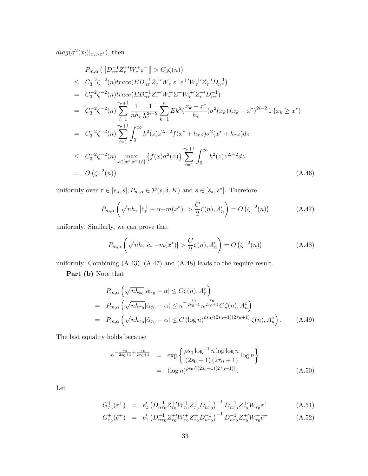$diag(\sigma^2(x_i)|_{x_i>x^*}),$  then

$$
P_{m,\alpha} \left( \left\| D_{n\tau}^{-1} Z_{\tau}^{+ \prime} W_{\tau}^{+} \varepsilon^{+} \right\| > C_{3} \zeta(n) \right)
$$
  
\n
$$
\leq C_{3}^{-2} \zeta^{-2} (n) trace (ED_{n\tau}^{-1} Z_{\tau}^{+ \prime} W_{\tau}^{+} \varepsilon^{+} \varepsilon^{+ \prime} W_{\tau}^{+ \prime} Z_{\tau}^{+ \prime} D_{n\tau}^{-1})
$$
  
\n
$$
= C_{3}^{-2} \zeta^{-2} (n) trace (ED_{n\tau}^{-1} Z_{\tau}^{+ \prime} W_{\tau}^{+} \Sigma^{+} W_{\tau}^{+ \prime} Z_{\tau}^{+ \prime} D_{n\tau}^{-1})
$$
  
\n
$$
= C_{3}^{-2} \zeta^{-2} (n) \sum_{i=1}^{r_{\tau}+1} \frac{1}{n h_{\tau}} \frac{1}{h_{\tau}^{2i-2}} \sum_{k=1}^{n} E k^{2} (\frac{x_{k} - x^{*}}{h_{\tau}}) \sigma^{2}(x_{k}) (x_{k} - x^{*})^{2i-2} 1 \{x_{k} \geq x^{*} \}
$$
  
\n
$$
= C_{3}^{-2} \zeta^{-2} (n) \sum_{i=1}^{r_{\tau}+1} \int_{0}^{\infty} k^{2}(z) z^{2i-2} f(x^{*} + h_{\tau} z) \sigma^{2}(x^{*} + h_{\tau} z) dz
$$
  
\n
$$
\leq C_{3}^{-2} \zeta^{-2} (n) \max_{x \in [x^{*}, x^{*}+\delta]} \{f(x) \sigma^{2}(x)\} \sum_{i=1}^{r_{\tau}+1} \int_{0}^{\infty} k^{2}(z) z^{2i-2} dz
$$
  
\n
$$
= O(\zeta^{-2}(n)) \qquad (A.46)
$$

uniformly over  $\tau \in [s_*, s], P_{m,\alpha} \in \mathcal{P}(s, \delta, K)$  and  $s \in [s_*, s^*]$ . Therefore

$$
P_{m,\alpha}\left(\sqrt{nh_{\tau}}\left|\hat{c}_{\tau}^{+}-\alpha-m(x^{*})\right|>\frac{C}{2}\zeta(n),A_{n}^{c}\right)=O\left(\zeta^{-2}(n)\right)\tag{A.47}
$$

uniformly. Similarly, we can prove that

$$
P_{m,\alpha}\left(\sqrt{nh_{\tau}}|\hat{c}_{\tau}^{-}-m(x^{*})|>\frac{C}{2}\zeta(n),A_{n}^{c}\right)=O\left(\zeta^{-2}(n)\right)
$$
\n(A.48)

uniformly. Combining (A.43), (A.47) and (A.48) leads to the require result.

Part (b) Note that

$$
P_{m,\alpha} \left( \sqrt{n h_{s_0}} |\hat{\alpha}_{\tau_0} - \alpha| \le C \zeta(n), A_n^c \right)
$$
  
= 
$$
P_{m,\alpha} \left( \sqrt{n h_{\tau_0}} |\hat{\alpha}_{\tau_0} - \alpha| \le n^{-\frac{s_0}{2s_0 + 1}} n^{\frac{\tau_0}{2\tau_0 + 1}} C \zeta(n), A_n^c \right)
$$
  
= 
$$
P_{m,\alpha} \left( \sqrt{n h_{\tau_0}} |\hat{\alpha}_{\tau_0} - \alpha| \le C (\log n)^{\rho s_0/(2s_0 + 1)(2\tau_0 + 1)} \zeta(n), A_n^c \right).
$$
 (A.49)

The last equality holds because

$$
n^{-\frac{s_0}{2s_0+1} + \frac{\tau_0}{2\tau_0+1}} = \exp\left\{\frac{\rho s_0 \log^{-1} n \log \log n}{(2s_0+1)(2\tau_0+1)} \log n\right\}
$$
  
=  $(\log n)^{\rho s_0/[(2s_0+1)(2\tau_0+1)]}.$  (A.50)

Let

$$
G_{\tau_0}^+(\varepsilon^+) = e_1' \left( D_{n\tau_0}^{-1} Z_{\tau_0}^+ W_{\tau_0}^+ Z_{\tau_0}^+ D_{n\tau_0}^{-1} \right)^{-1} D_{n\tau_0}^{-1} Z_{\tau_0}^+ W_{\tau_0}^+ \varepsilon^+ \tag{A.51}
$$

$$
G_{\tau_0}^+(\tilde{e}^+) = e'_1 \left( D_{n\tau_0}^{-1} Z_{\tau_0}^+ W_{\tau_0}^+ Z_{\tau_0}^+ D_{n\tau_0}^{-1} \right)^{-1} D_{n\tau_0}^{-1} Z_{\tau_0}^+ W_{\tau_0}^+ \tilde{e}^+ \tag{A.52}
$$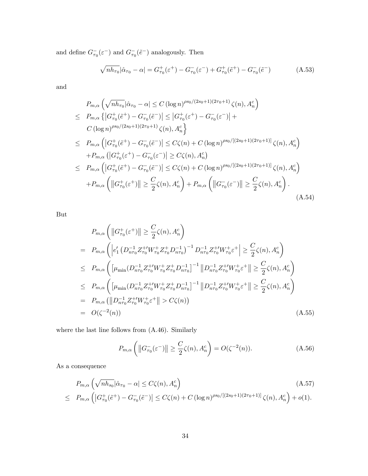and define  $G_{\tau_0}^{-}(\varepsilon^{-})$  and  $G_{\tau_0}^{-}(\tilde{e}^{-})$  analogously. Then

$$
\sqrt{nh_{\tau_0}}|\hat{\alpha}_{\tau_0} - \alpha| = G_{\tau_0}^+(\varepsilon^+) - G_{\tau_0}^-(\varepsilon^-) + G_{\tau_0}^+(\tilde{e}^+) - G_{\tau_0}^-(\tilde{e}^-)
$$
(A.53)

and

$$
P_{m,\alpha} \left( \sqrt{n h_{\tau_0}} |\hat{\alpha}_{\tau_0} - \alpha| \le C (\log n)^{\rho s_0/(2s_0+1)(2\tau_0+1)} \zeta(n), A_n^c \right)
$$
  
\n
$$
\le P_{m,\alpha} \left\{ |G_{\tau_0}^+(\tilde{e}^+) - G_{\tau_0}^-(\tilde{e}^-)| \le |G_{\tau_0}^+(\varepsilon^+) - G_{\tau_0}^-(\varepsilon^-)| +
$$
  
\n
$$
C (\log n)^{\rho s_0/(2s_0+1)(2\tau_0+1)} \zeta(n), A_n^c \right\}
$$
  
\n
$$
\le P_{m,\alpha} \left( |G_{\tau_0}^+(\tilde{e}^+) - G_{\tau_0}^-(\tilde{e}^-)| \le C\zeta(n) + C (\log n)^{\rho s_0/[2s_0+1)(2\tau_0+1)]} \zeta(n), A_n^c \right)
$$
  
\n
$$
+ P_{m,\alpha} \left( |G_{\tau_0}^+(\tilde{e}^+) - G_{\tau_0}^-(\tilde{e}^-)| \ge C\zeta(n), A_n^c \right)
$$
  
\n
$$
\le P_{m,\alpha} \left( |G_{\tau_0}^+(\tilde{e}^+) - G_{\tau_0}^-(\tilde{e}^-)| \le C\zeta(n) + C (\log n)^{\rho s_0/[2s_0+1)(2\tau_0+1)]} \zeta(n), A_n^c \right)
$$
  
\n
$$
+ P_{m,\alpha} \left( ||G_{\tau_0}^+(\varepsilon^+)|| \ge \frac{C}{2}\zeta(n), A_n^c \right) + P_{m,\alpha} \left( ||G_{\tau_0}^-(\varepsilon^-)|| \ge \frac{C}{2}\zeta(n), A_n^c \right).
$$
  
\n(A.54)

But

$$
P_{m,\alpha}\left(\left\|G_{\tau_{0}}^{+}(\varepsilon^{+})\right\| \geq \frac{C}{2}\zeta(n), A_{n}^{c}\right)
$$
\n
$$
= P_{m,\alpha}\left(\left|e_{1}^{\prime}\left(D_{n\tau_{0}}^{-1}Z_{\tau_{0}}^{+}W_{\tau_{0}}^{+}Z_{\tau_{0}}^{+}D_{n\tau_{0}}^{-1}\right)^{-1}D_{n\tau_{0}}^{-1}Z_{\tau_{0}}^{+}W_{\tau_{0}}^{+}\varepsilon^{+}\right| \geq \frac{C}{2}\zeta(n), A_{n}^{c}\right)
$$
\n
$$
\leq P_{m,\alpha}\left(\left[\mu_{\min}\left(D_{n\tau_{0}}^{-1}Z_{\tau_{0}}^{+}W_{\tau_{0}}^{+}Z_{\tau_{0}}^{+}D_{n\tau_{0}}^{-1}\right]^{-1}\left\|D_{n\tau_{0}}^{-1}Z_{\tau_{0}}^{+}W_{\tau_{0}}^{+}\varepsilon^{+}\right\|\geq \frac{C}{2}\zeta(n), A_{n}^{c}\right)
$$
\n
$$
\leq P_{m,\alpha}\left(\left[\mu_{\min}\left(D_{n\tau_{0}}^{-1}Z_{\tau_{0}}^{+}W_{\tau_{0}}^{+}Z_{\tau_{0}}^{+}D_{n\tau_{0}}^{-1}\right]^{-1}\left\|D_{n\tau_{0}}^{-1}Z_{\tau_{0}}^{+}W_{\tau_{0}}^{+}\varepsilon^{+}\right\|\geq \frac{C}{2}\zeta(n), A_{n}^{c}\right)
$$
\n
$$
= P_{m,\alpha}\left(\left\|D_{n\tau_{0}}^{-1}Z_{\tau_{0}}^{+}W_{\tau_{0}}^{+}\varepsilon^{+}\right\| > C\zeta(n)\right)
$$
\n
$$
= O(\zeta^{-2}(n))\tag{A.55}
$$

where the last line follows from (A.46). Similarly

$$
P_{m,\alpha}\left(\left\|G_{\tau_0}^{-}(\varepsilon^{-})\right\| \ge \frac{C}{2}\zeta(n), A_n^c\right) = O(\zeta^{-2}(n)).\tag{A.56}
$$

As a consequence

$$
P_{m,\alpha} \left( \sqrt{n h_{s_0}} |\hat{\alpha}_{\tau_0} - \alpha| \le C \zeta(n), A_n^c \right)
$$
\n
$$
\le P_{m,\alpha} \left( |G_{\tau_0}^+(\tilde{e}^+) - G_{\tau_0}^-(\tilde{e}^-) | \le C \zeta(n) + C \left( \log n \right)^{\rho s_0 / [(2s_0+1)(2\tau_0+1)]} \zeta(n), A_n^c \right) + o(1).
$$
\n(A.57)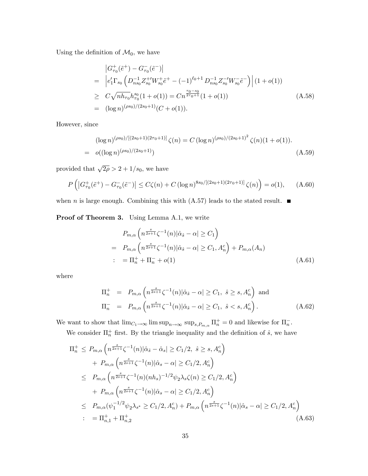Using the definition of  $\mathcal{M}_0$ , we have

$$
\begin{split}\n&\left| G_{\tau_0}^+(\tilde{e}^+) - G_{\tau_0}^-(\tilde{e}^-) \right| \\
&= \left| e_1' \Gamma_{s_0} \left( D_{ns_0}^{-1} Z_{s_0}^{+ \prime} W_{s_0}^+ \tilde{e}^+ - (-1)^{\ell_0 + 1} D_{ns_0}^{-1} Z_{s_0}^{- \prime} W_{s_0}^- \tilde{e}^- \right) \right| (1 + o(1)) \\
&\geq C \sqrt{n h_{\tau_0}} h_{\tau_0}^{s_0} (1 + o(1)) = C n^{\frac{\tau_0 - s_0}{2\tau_0 + 1}} (1 + o(1)) \\
&= (\log n)^{(\rho s_0)/(2s_0 + 1)} (C + o(1)).\n\end{split} \tag{A.58}
$$

However, since

$$
(\log n)^{(\rho s_0)/[(2s_0+1)(2\tau_0+1)]} \zeta(n) = C (\log n)^{(\rho s_0)/(2s_0+1)^2} \zeta(n)(1+o(1)).
$$
  
=  $o((\log n)^{(\rho s_0)/(2s_0+1)})$  (A.59)

provided that  $\sqrt{2\rho} > 2 + 1/s_0$ , we have

$$
P\left(\left|G_{\tau_0}^+(\tilde{e}^+) - G_{\tau_0}^-(\tilde{e}^-)\right| \le C\zeta(n) + C\left(\log n\right)^{8s_0/[(2s_0+1)(2\tau_0+1)]}\zeta(n)\right) = o(1),\qquad(A.60)
$$

when *n* is large enough. Combining this with  $(A.57)$  leads to the stated result.  $\blacksquare$ 

#### Proof of Theorem 3. Using Lemma A.1, we write

$$
P_{m,\alpha} \left( n^{\frac{s}{2s+1}} \zeta^{-1}(n) |\hat{\alpha}_{\hat{s}} - \alpha| \ge C_1 \right)
$$
  
= 
$$
P_{m,\alpha} \left( n^{\frac{s}{2s+1}} \zeta^{-1}(n) |\hat{\alpha}_{\hat{s}} - \alpha| \ge C_1, A_n^c \right) + P_{m,\alpha}(A_n)
$$
  
: 
$$
= \Pi_n^+ + \Pi_n^- + o(1) \tag{A.61}
$$

where

$$
\Pi_n^+ = P_{m,\alpha} \left( n^{\frac{s}{2s+1}} \zeta^{-1}(n) |\hat{\alpha}_s - \alpha| \ge C_1, \ \hat{s} \ge s, A_n^c \right) \text{ and}
$$
\n
$$
\Pi_n^- = P_{m,\alpha} \left( n^{\frac{s}{2s+1}} \zeta^{-1}(n) |\hat{\alpha}_s - \alpha| \ge C_1, \ \hat{s} < s, A_n^c \right). \tag{A.62}
$$

We want to show that  $\lim_{C_1 \to \infty} \lim_{n \to \infty} \sup_{n \to \infty} \sup_{s,P_{m,\alpha}} \Pi_n^+ = 0$  and likewise for  $\Pi_n^-$ .

We consider  $\Pi_n^+$  first. By the triangle inequality and the definition of  $\hat{s}$ , we have

$$
\Pi_{n}^{+} \leq P_{m,\alpha} \left( n^{\frac{s}{2s+1}} \zeta^{-1}(n) |\hat{\alpha}_{\hat{s}} - \hat{\alpha}_{s}| \geq C_{1}/2, \ \hat{s} \geq s, A_{n}^{c} \right) \n+ P_{m,\alpha} \left( n^{\frac{s}{2s+1}} \zeta^{-1}(n) |\hat{\alpha}_{s} - \alpha| \geq C_{1}/2, A_{n}^{c} \right) \n\leq P_{m,\alpha} \left( n^{\frac{s}{2s+1}} \zeta^{-1}(n) (n h_{s})^{-1/2} \psi_{2} \lambda_{s} \zeta(n) \geq C_{1}/2, A_{n}^{c} \right) \n+ P_{m,\alpha} \left( n^{\frac{s}{2s+1}} \zeta^{-1}(n) |\hat{\alpha}_{s} - \alpha| \geq C_{1}/2, A_{n}^{c} \right) \n\leq P_{m,\alpha} (\psi_{1}^{-1/2} \psi_{2} \lambda_{s} \geq C_{1}/2, A_{n}^{c}) + P_{m,\alpha} \left( n^{\frac{s}{2s+1}} \zeta^{-1}(n) |\hat{\alpha}_{s} - \alpha| \geq C_{1}/2, A_{n}^{c} \right) \n= \Pi_{n,1}^{+} + \Pi_{n,2}^{+} \tag{A.63}
$$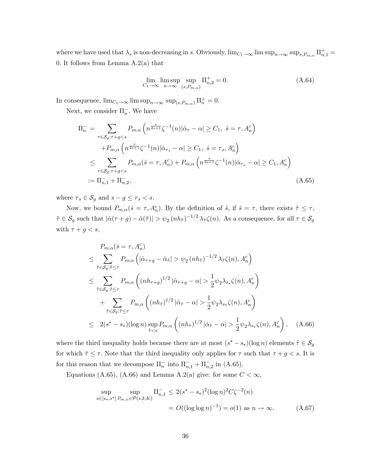where we have used that  $\lambda_s$  is non-decreasing in s. Obviously,  $\lim_{C_1 \to \infty} \lim_{n \to \infty} \sup_{n \to \infty} \sup_{s,P_{m,\alpha}} \Pi_{n,1}^+$ 0. It follows from Lemma  $A.2(a)$  that

$$
\lim_{C_1 \to \infty} \limsup_{n \to \infty} \sup_{(s, P_{m,\alpha})} \Pi_{n,2}^+ = 0.
$$
\n(A.64)

In consequence,  $\lim_{C_1 \to \infty} \lim_{n \to \infty} \sup_{n \to \infty} \sup_{(s, P_{m,\alpha})} \Pi_n^+ = 0.$ 

Next, we consider  $\Pi_n^-$ . We have

$$
\Pi_n^- = \sum_{\tau \in \mathcal{S}_g: \tau + g < s} P_{m,\alpha} \left( n^{\frac{s}{2s+1}} \zeta^{-1}(n) |\hat{\alpha}_\tau - \alpha| \ge C_1, \ \hat{s} = \tau, A_n^c \right)
$$
\n
$$
+ P_{m,\alpha} \left( n^{\frac{s}{2s+1}} \zeta^{-1}(n) |\hat{\alpha}_{\tau_s} - \alpha| \ge C_1, \ \hat{s} = \tau_s, A_n^c \right)
$$
\n
$$
\le \sum_{\tau \in \mathcal{S}_g: \tau + g < s} P_{m,\alpha} (\hat{s} = \tau, A_n^c) + P_{m,\alpha} \left( n^{\frac{s}{2s+1}} \zeta^{-1}(n) |\hat{\alpha}_{\tau_s} - \alpha| \ge C_1, A_n^c \right)
$$
\n
$$
:= \Pi_{n,1}^- + \Pi_{n,2}^-, \tag{A.65}
$$

where  $\tau_s \in \mathcal{S}_g$  and  $s - g \leq \tau_s < s$ .

Now, we bound  $P_{m,\alpha}(\hat{s} = \tau, A_n^c)$ . By the definition of  $\hat{s}$ , if  $\hat{s} = \tau$ , there exists  $\tilde{\tau} \leq \tau$ ,  $\tilde{\tau} \in \mathcal{S}_g$  such that  $|\hat{\alpha}(\tau + g) - \hat{\alpha}(\tilde{\tau})| > \psi_2(nh_{\tilde{\tau}})^{-1/2} \lambda_{\tilde{\tau}} \zeta(n)$ . As a consequence, for all  $\tau \in \mathcal{S}_g$ with  $\tau + g < s$ ,

$$
P_{m,\alpha}(\hat{s} = \tau, A_n^c)
$$
  
\n
$$
\leq \sum_{\tilde{\tau} \in S_g: \tilde{\tau} \leq \tau} P_{m,\alpha} \left( |\hat{\alpha}_{\tau+g} - \hat{\alpha}_{\tilde{\tau}}| > \psi_2 (nh_{\tilde{\tau}})^{-1/2} \lambda_{\tilde{\tau}} \zeta(n), A_n^c \right)
$$
  
\n
$$
\leq \sum_{\tilde{\tau} \in S_g: \tilde{\tau} \leq \tau} P_{m,\alpha} \left( (nh_{\tau+g})^{1/2} |\hat{\alpha}_{\tau+g} - \alpha| > \frac{1}{2} \psi_2 \lambda_{s_*} \zeta(n), A_n^c \right)
$$
  
\n
$$
+ \sum_{\tilde{\tau} \in S_g: \tilde{\tau} \leq \tau} P_{m,\alpha} \left( (nh_{\tilde{\tau}})^{1/2} |\hat{\alpha}_{\tilde{\tau}} - \alpha| > \frac{1}{2} \psi_2 \lambda_{s_*} \zeta(n), A_n^c \right)
$$
  
\n
$$
\leq 2(s^* - s_*)(\log n) \sup_{\tilde{\tau} < s} P_{m,\alpha} \left( (nh_{\tilde{\tau}})^{1/2} |\hat{\alpha}_{\tilde{\tau}} - \alpha| > \frac{1}{2} \psi_2 \lambda_{s_*} \zeta(n), A_n^c \right), \quad (A.66)
$$

where the third inequality holds because there are at most  $(s^* - s_*)(\log n)$  elements  $\tilde{\tau} \in \mathcal{S}_g$ for which  $\tilde{\tau} \leq \tau$ . Note that the third inequality only applies for  $\tau$  such that  $\tau + g < s$ . It is for this reason that we decompose  $\Pi_n^-$  into  $\Pi_{n,1}^- + \Pi_{n,2}^-$  in (A.65).

Equations (A.65), (A.66) and Lemma A.2(a) give: for some  $C < \infty$ ,

$$
\sup_{s \in [s_*, s^*]} \sup_{P_{m,\alpha} \in \mathcal{P}(s,\delta,K)} \Pi_{n,1}^- \le 2(s^* - s_*)^2 (\log n)^2 C \zeta^{-2}(n)
$$
  
=  $O((\log \log n)^{-1}) = o(1)$  as  $n \to \infty$ . (A.67)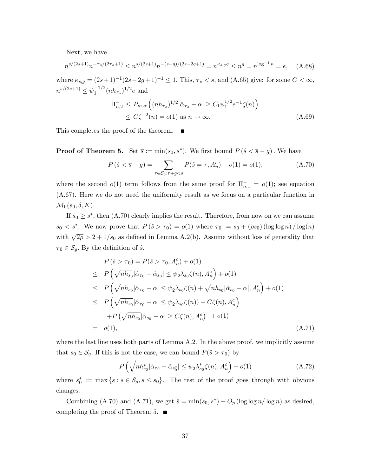Next, we have

$$
n^{s/(2s+1)}n^{-\tau_s/(2\tau_s+1)} \le n^{s/(2s+1)}n^{-(s-g)/(2s-2g+1)} = n^{\kappa_{s,g}g} \le n^g = n^{\log^{-1}n} = e,\quad \text{(A.68)}
$$

where  $\kappa_{s,g} = (2s+1)^{-1}(2s-2g+1)^{-1} \leq 1$ . This,  $\tau_s < s$ , and  $(A.65)$  give: for some  $C < \infty$ ,  $n^{s/(2s+1)} \leq \psi_1^{-1/2} (n h_{\tau_s})^{1/2} e$  and

$$
\Pi_{n,2}^{-} \le P_{m,\alpha} \left( (n h_{\tau_{s}})^{1/2} |\hat{\alpha}_{\tau_{s}} - \alpha| \ge C_{1} \psi_{1}^{1/2} e^{-1} \zeta(n) \right) \le C \zeta^{-2}(n) = o(1) \text{ as } n \to \infty.
$$
\n(A.69)

This completes the proof of the theorem.  $\blacksquare$ 

**Proof of Theorem 5.** Set  $\overline{s} := \min(s_0, s^*)$ . We first bound  $P(\hat{s} < \overline{s} - g)$ . We have

$$
P(\hat{s} < \overline{s} - g) = \sum_{\tau \in S_g: \tau + g < \overline{s}} P(\hat{s} = \tau, A_n^c) + o(1) = o(1), \tag{A.70}
$$

where the second  $o(1)$  term follows from the same proof for  $\Pi_{n,1}^- = o(1)$ ; see equation (A.67). Here we do not need the uniformity result as we focus on a particular function in  $\mathcal{M}_0(s_0, \delta, K).$ 

If  $s_0 \geq s^*$ , then (A.70) clearly implies the result. Therefore, from now on we can assume  $s_0 < s^*$ . We now prove that  $P(\hat{s} > \tau_0) = o(1)$  where  $\tau_0 := s_0 + (\rho s_0) (\log \log n) / \log(n)$ with  $\sqrt{2\rho} > 2 + 1/s_0$  as defined in Lemma A.2(b). Assume without loss of generality that  $\tau_0 \in \mathcal{S}_q$ . By the definition of  $\hat{s}$ ,

$$
P(\hat{s} > \tau_0) = P(\hat{s} > \tau_0, A_n^c) + o(1)
$$
  
\n
$$
\leq P\left(\sqrt{nh_{s_0}}|\hat{\alpha}_{\tau_0} - \hat{\alpha}_{s_0}| \leq \psi_2 \lambda_{s_0} \zeta(n), A_n^c\right) + o(1)
$$
  
\n
$$
\leq P\left(\sqrt{nh_{s_0}}|\hat{\alpha}_{\tau_0} - \alpha| \leq \psi_2 \lambda_{s_0} \zeta(n) + \sqrt{nh_{s_0}}|\hat{\alpha}_{s_0} - \alpha|, A_n^c\right) + o(1)
$$
  
\n
$$
\leq P\left(\sqrt{nh_{s_0}}|\hat{\alpha}_{\tau_0} - \alpha| \leq \psi_2 \lambda_{s_0} \zeta(n)\right) + C\zeta(n), A_n^c
$$
  
\n
$$
+ P\left(\sqrt{nh_{s_0}}|\hat{\alpha}_{s_0} - \alpha| \geq C\zeta(n), A_n^c\right) + o(1)
$$
  
\n
$$
= o(1), \qquad (A.71)
$$

where the last line uses both parts of Lemma A.2. In the above proof, we implicitly assume that  $s_0 \in \mathcal{S}_g$ . If this is not the case, we can bound  $P(\hat{s} > \tau_0)$  by

$$
P\left(\sqrt{nh_{s_0}^*}|\hat{\alpha}_{\tau_0} - \hat{\alpha}_{s_0^*}| \le \psi_2 \lambda_{s_0}^* \zeta(n), A_n^c\right) + o(1)
$$
 (A.72)

where  $s_0^* := \max\{s : s \in \mathcal{S}_g, s \leq s_0\}$ . The rest of the proof goes through with obvious changes.

Combining (A.70) and (A.71), we get  $\hat{s} = \min(s_0, s^*) + O_p(\log \log n/\log n)$  as desired, completing the proof of Theorem 5.  $\blacksquare$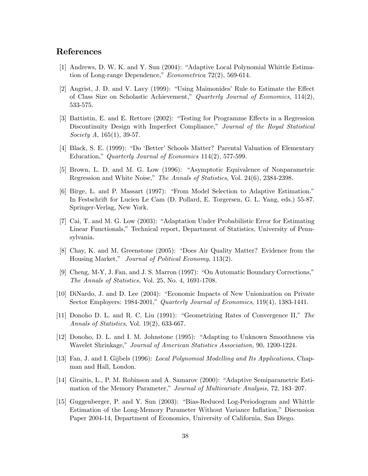### References

- [1] Andrews, D. W. K. and Y. Sun (2004): "Adaptive Local Polynomial Whittle Estimation of Long-range Dependence,"  $Econometrica$  72(2), 569-614.
- $[2]$  Angrist, J. D. and V. Lavy  $(1999)$ : "Using Maimonides' Rule to Estimate the Effect of Class Size on Scholastic Achievement,î Quarterly Journal of Economics, 114(2), 533-575.
- [3] Battistin, E. and E. Rettore (2002): "Testing for Programme Effects in a Regression Discontinuity Design with Imperfect Compliance," Journal of the Royal Statistical Society A, 165(1), 39-57.
- [4] Black, S. E. (1999): "Do 'Better' Schools Matter? Parental Valuation of Elementary Education," Quarterly Journal of Economics  $114(2)$ , 577-599.
- [5] Brown, L. D. and M. G. Low (1996): "Asymptotic Equivalence of Nonparametric Regression and White Noise," The Annals of Statistics, Vol. 24(6), 2384-2398.
- [6] Birge, L. and P. Massart (1997): "From Model Selection to Adaptive Estimation." In Festschrift for Lucien Le Cam (D. Pollard, E. Torgersen, G. L. Yang, eds.) 55-87. Springer-Verlag, New York.
- [7] Cai, T. and M. G. Low (2003): "Adaptation Under Probabilistic Error for Estimating Linear Functionals," Technical report, Department of Statistics, University of Pennsylvania.
- [8] Chay, K. and M. Greenstone (2005): "Does Air Quality Matter? Evidence from the Housing Market," Journal of Political Economy, 113(2).
- [9] Cheng, M-Y, J. Fan, and J. S. Marron  $(1997)$ : "On Automatic Boundary Corrections," The Annals of Statistics, Vol. 25, No. 4, 1691-1708.
- [10] DiNardo, J. and D. Lee (2004): "Economic Impacts of New Unionization on Private Sector Employers:  $1984-2001$ ," Quarterly Journal of Economics,  $119(4)$ , 1383-1441.
- [11] Donoho D. L. and R. C. Liu (1991): "Geometrizing Rates of Convergence II," The Annals of Statistics, Vol. 19(2), 633-667.
- [12] Donoho, D. L. and I. M. Johnstone (1995): "Adapting to Unknown Smoothness via Wavelet Shrinkage," Journal of American Statistics Association, 90, 1200-1224.
- [13] Fan, J. and I. Gijbels (1996): Local Polynomial Modelling and Its Applications, Chapman and Hall, London.
- [14] Giraitis, L., P. M. Robinson and A. Samarov (2000): "Adaptive Semiparametric Estimation of the Memory Parameter," Journal of Multivariate Analysis, 72, 183–207.
- [15] Guggenberger, P. and Y. Sun (2003): "Bias-Reduced Log-Periodogram and Whittle Estimation of the Long-Memory Parameter Without Variance Inflation," Discussion Paper 2004-14, Department of Economics, University of California, San Diego.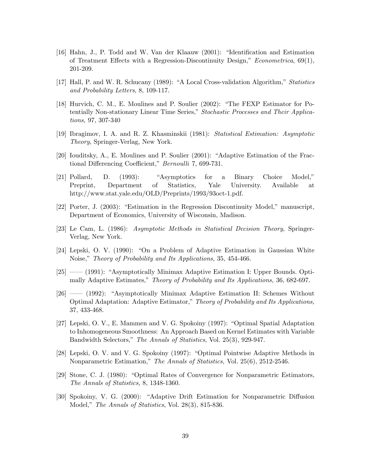- [16] Hahn, J., P. Todd and W. Van der Klaauw (2001): "Identification and Estimation of Treatment Effects with a Regression-Discontinuity Design," Econometrica,  $69(1)$ , 201-209.
- [17] Hall, P. and W. R. Schucany (1989): "A Local Cross-validation Algorithm," Statistics and Probability Letters, 8, 109-117.
- [18] Hurvich, C. M., E. Moulines and P. Soulier (2002): "The FEXP Estimator for Potentially Non-stationary Linear Time Series," Stochastic Processes and Their Applications, 97, 307-340
- [19] Ibragimov, I. A. and R. Z. Khasminskii (1981): Statistical Estimation: Asymptotic Theory, Springer-Verlag, New York.
- $[20]$  Iouditsky, A., E. Moulines and P. Soulier  $(2001)$ : "Adaptive Estimation of the Fractional Differencing Coefficient," Bernoulli 7, 699-731.
- $[21]$  Pollard, D.  $(1993)$ : "Asymptotics for a Binary Choice Model," Preprint, Department of Statistics, Yale University. Available at http://www.stat.yale.edu/OLD/Preprints/1993/93oct-1.pdf.
- [22] Porter, J.  $(2003)$ : "Estimation in the Regression Discontinuity Model," manuscript, Department of Economics, University of Wisconsin, Madison.
- [23] Le Cam, L. (1986): Asymptotic Methods in Statistical Decision Theory, Springer-Verlag, New York.
- [24] Lepski, O. V. (1990): "On a Problem of Adaptive Estimation in Gaussian White Noise," Theory of Probability and Its Applications, 35, 454-466.
- $[25]$   $(1991)$ : "Asymptotically Minimax Adaptive Estimation I: Upper Bounds. Optimally Adaptive Estimates," Theory of Probability and Its Applications, 36, 682-697.
- $[26]$   $(1992)$ : "Asymptotically Minimax Adaptive Estimation II: Schemes Without Optimal Adaptation: Adaptive Estimator," Theory of Probability and Its Applications, 37, 433-468.
- [27] Lepski, O. V., E. Mammen and V. G. Spokoiny (1997): "Optimal Spatial Adaptation to Inhomogeneous Smoothness: An Approach Based on Kernel Estimates with Variable Bandwidth Selectors," The Annals of Statistics, Vol. 25(3), 929-947.
- [28] Lepski, O. V. and V. G. Spokoiny (1997): "Optimal Pointwise Adaptive Methods in Nonparametric Estimation," The Annals of Statistics, Vol. 25(6), 2512-2546.
- [29] Stone, C. J. (1980): "Optimal Rates of Convergence for Nonparametric Estimators, The Annals of Statistics, 8, 1348-1360.
- [30] Spokoiny, V. G. (2000): "Adaptive Drift Estimation for Nonparametric Diffusion Model," The Annals of Statistics, Vol.  $28(3)$ , 815-836.